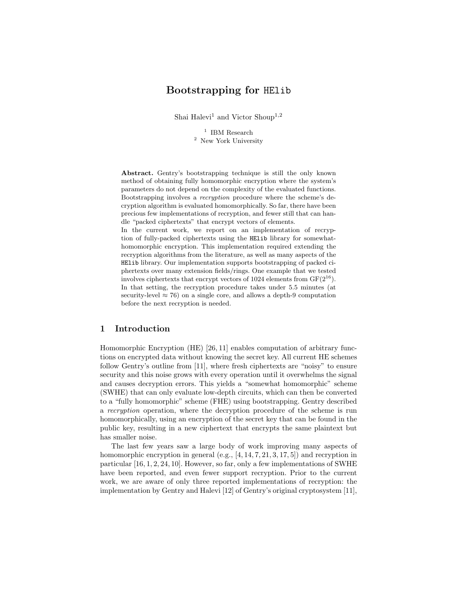# Bootstrapping for HElib

Shai Halevi<sup>1</sup> and Victor Shoup<sup>1,2</sup>

<sup>1</sup> IBM Research <sup>2</sup> New York University

Abstract. Gentry's bootstrapping technique is still the only known method of obtaining fully homomorphic encryption where the system's parameters do not depend on the complexity of the evaluated functions. Bootstrapping involves a recryption procedure where the scheme's decryption algorithm is evaluated homomorphically. So far, there have been precious few implementations of recryption, and fewer still that can handle "packed ciphertexts" that encrypt vectors of elements.

In the current work, we report on an implementation of recryption of fully-packed ciphertexts using the HElib library for somewhathomomorphic encryption. This implementation required extending the recryption algorithms from the literature, as well as many aspects of the HElib library. Our implementation supports bootstrapping of packed ciphertexts over many extension fields/rings. One example that we tested involves ciphertexts that encrypt vectors of 1024 elements from  $GF(2^{16})$ . In that setting, the recryption procedure takes under 5.5 minutes (at security-level  $\approx 76$ ) on a single core, and allows a depth-9 computation before the next recryption is needed.

### 1 Introduction

Homomorphic Encryption (HE) [26, 11] enables computation of arbitrary functions on encrypted data without knowing the secret key. All current HE schemes follow Gentry's outline from [11], where fresh ciphertexts are "noisy" to ensure security and this noise grows with every operation until it overwhelms the signal and causes decryption errors. This yields a "somewhat homomorphic" scheme (SWHE) that can only evaluate low-depth circuits, which can then be converted to a "fully homomorphic" scheme (FHE) using bootstrapping. Gentry described a recryption operation, where the decryption procedure of the scheme is run homomorphically, using an encryption of the secret key that can be found in the public key, resulting in a new ciphertext that encrypts the same plaintext but has smaller noise.

The last few years saw a large body of work improving many aspects of homomorphic encryption in general  $(e.g., [4, 14, 7, 21, 3, 17, 5])$  and recryption in particular [16, 1, 2, 24, 10]. However, so far, only a few implementations of SWHE have been reported, and even fewer support recryption. Prior to the current work, we are aware of only three reported implementations of recryption: the implementation by Gentry and Halevi [12] of Gentry's original cryptosystem [11],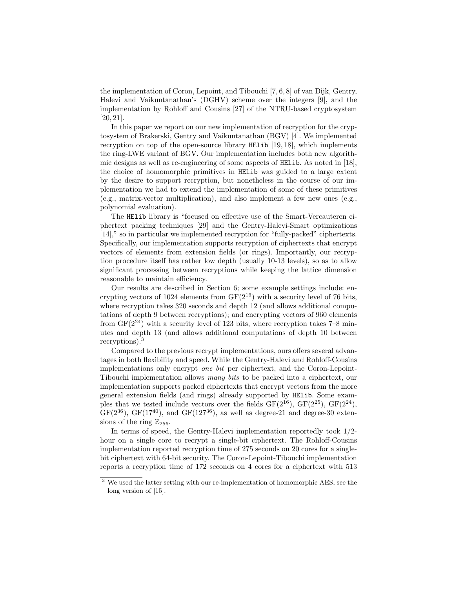the implementation of Coron, Lepoint, and Tibouchi [7, 6, 8] of van Dijk, Gentry, Halevi and Vaikuntanathan's (DGHV) scheme over the integers [9], and the implementation by Rohloff and Cousins [27] of the NTRU-based cryptosystem [20, 21].

In this paper we report on our new implementation of recryption for the cryptosystem of Brakerski, Gentry and Vaikuntanathan (BGV) [4]. We implemented recryption on top of the open-source library HElib [19, 18], which implements the ring-LWE variant of BGV. Our implementation includes both new algorithmic designs as well as re-engineering of some aspects of HElib. As noted in [18], the choice of homomorphic primitives in HElib was guided to a large extent by the desire to support recryption, but nonetheless in the course of our implementation we had to extend the implementation of some of these primitives (e.g., matrix-vector multiplication), and also implement a few new ones (e.g., polynomial evaluation).

The HElib library is "focused on effective use of the Smart-Vercauteren ciphertext packing techniques [29] and the Gentry-Halevi-Smart optimizations [14]," so in particular we implemented recryption for "fully-packed" ciphertexts. Specifically, our implementation supports recryption of ciphertexts that encrypt vectors of elements from extension fields (or rings). Importantly, our recryption procedure itself has rather low depth (usually 10-13 levels), so as to allow significant processing between recryptions while keeping the lattice dimension reasonable to maintain efficiency.

Our results are described in Section 6; some example settings include: encrypting vectors of 1024 elements from  $GF(2^{16})$  with a security level of 76 bits, where recryption takes 320 seconds and depth 12 (and allows additional computations of depth 9 between recryptions); and encrypting vectors of 960 elements from  $GF(2^{24})$  with a security level of 123 bits, where recryption takes 7–8 minutes and depth 13 (and allows additional computations of depth 10 between recryptions).<sup>3</sup>

Compared to the previous recrypt implementations, ours offers several advantages in both flexibility and speed. While the Gentry-Halevi and Rohloff-Cousins implementations only encrypt one bit per ciphertext, and the Coron-Lepoint-Tibouchi implementation allows many bits to be packed into a ciphertext, our implementation supports packed ciphertexts that encrypt vectors from the more general extension fields (and rings) already supported by HElib. Some examples that we tested include vectors over the fields  $GF(2^{16})$ ,  $GF(2^{25})$ ,  $GF(2^{24})$ ,  $GF(2^{36})$ ,  $GF(17^{40})$ , and  $GF(127^{36})$ , as well as degree-21 and degree-30 extensions of the ring  $\mathbb{Z}_{256}$ .

In terms of speed, the Gentry-Halevi implementation reportedly took 1/2 hour on a single core to recrypt a single-bit ciphertext. The Rohloff-Cousins implementation reported recryption time of 275 seconds on 20 cores for a singlebit ciphertext with 64-bit security. The Coron-Lepoint-Tibouchi implementation reports a recryption time of 172 seconds on 4 cores for a ciphertext with 513

<sup>&</sup>lt;sup>3</sup> We used the latter setting with our re-implementation of homomorphic AES, see the long version of [15].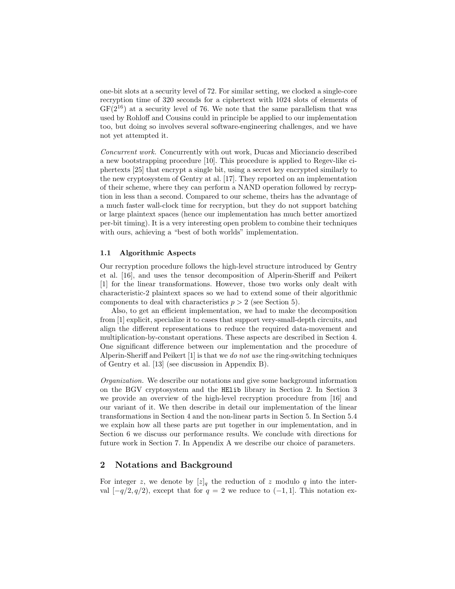one-bit slots at a security level of 72. For similar setting, we clocked a single-core recryption time of 320 seconds for a ciphertext with 1024 slots of elements of  $GF(2^{16})$  at a security level of 76. We note that the same parallelism that was used by Rohloff and Cousins could in principle be applied to our implementation too, but doing so involves several software-engineering challenges, and we have not yet attempted it.

Concurrent work. Concurrently with out work, Ducas and Micciancio described a new bootstrapping procedure [10]. This procedure is applied to Regev-like ciphertexts [25] that encrypt a single bit, using a secret key encrypted similarly to the new cryptosystem of Gentry at al. [17]. They reported on an implementation of their scheme, where they can perform a NAND operation followed by recryption in less than a second. Compared to our scheme, theirs has the advantage of a much faster wall-clock time for recryption, but they do not support batching or large plaintext spaces (hence our implementation has much better amortized per-bit timing). It is a very interesting open problem to combine their techniques with ours, achieving a "best of both worlds" implementation.

### 1.1 Algorithmic Aspects

Our recryption procedure follows the high-level structure introduced by Gentry et al. [16], and uses the tensor decomposition of Alperin-Sheriff and Peikert [1] for the linear transformations. However, those two works only dealt with characteristic-2 plaintext spaces so we had to extend some of their algorithmic components to deal with characteristics  $p > 2$  (see Section 5).

Also, to get an efficient implementation, we had to make the decomposition from [1] explicit, specialize it to cases that support very-small-depth circuits, and align the different representations to reduce the required data-movement and multiplication-by-constant operations. These aspects are described in Section 4. One significant difference between our implementation and the procedure of Alperin-Sheriff and Peikert [1] is that we do not use the ring-switching techniques of Gentry et al. [13] (see discussion in Appendix B).

Organization. We describe our notations and give some background information on the BGV cryptosystem and the HElib library in Section 2. In Section 3 we provide an overview of the high-level recryption procedure from [16] and our variant of it. We then describe in detail our implementation of the linear transformations in Section 4 and the non-linear parts in Section 5. In Section 5.4 we explain how all these parts are put together in our implementation, and in Section 6 we discuss our performance results. We conclude with directions for future work in Section 7. In Appendix A we describe our choice of parameters.

# 2 Notations and Background

For integer z, we denote by  $[z]_q$  the reduction of z modulo q into the interval  $[-q/2, q/2)$ , except that for  $q = 2$  we reduce to  $(-1, 1]$ . This notation ex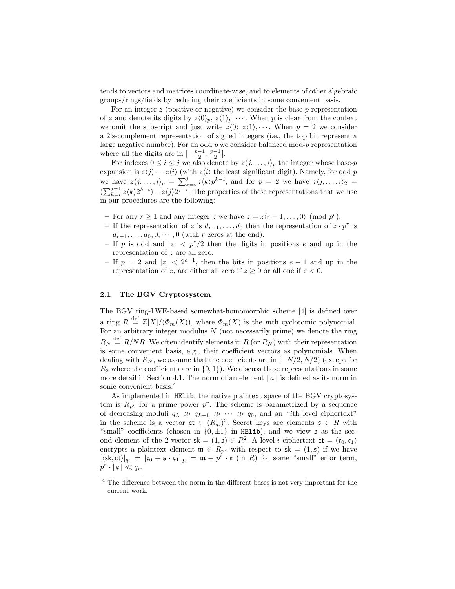tends to vectors and matrices coordinate-wise, and to elements of other algebraic groups/rings/fields by reducing their coefficients in some convenient basis.

For an integer  $z$  (positive or negative) we consider the base- $p$  representation of z and denote its digits by  $z\langle 0 \rangle_p$ ,  $z\langle 1 \rangle_p$ ,  $\cdots$ . When p is clear from the context we omit the subscript and just write  $z(0), z(1), \cdots$ . When  $p = 2$  we consider a 2's-complement representation of signed integers (i.e., the top bit represent a large negative number). For an odd  $p$  we consider balanced mod- $p$  representation where all the digits are in  $\left[-\frac{p-1}{2}, \frac{p-1}{2}\right]$ .

For indexes  $0 \le i \le j$  we also denote by  $z \langle j, \ldots, i \rangle_p$  the integer whose base-p expansion is  $z\langle j \rangle \cdots z\langle i \rangle$  (with  $z\langle i \rangle$  the least significant digit). Namely, for odd p we have  $z\langle j,\ldots,i\rangle_p = \sum_{k=i}^j z\langle k\rangle p^{k-i}$ , and for  $p=2$  we have  $z\langle j,\ldots,i\rangle_2 =$  $(\sum_{k=i}^{j-1} z\langle k \rangle 2^{k-i}) - z\langle j \rangle 2^{j-i}$ . The properties of these representations that we use in our procedures are the following:

- For any  $r \ge 1$  and any integer z we have  $z = z(r-1, \ldots, 0) \pmod{p^r}$ .
- If the representation of z is  $d_{r-1}, \ldots, d_0$  then the representation of  $z \cdot p^r$  is  $d_{r-1}, \ldots, d_0, 0, \cdots, 0$  (with r zeros at the end).
- If p is odd and  $|z| < p^{e}/2$  then the digits in positions e and up in the representation of z are all zero.
- If  $p = 2$  and  $|z| < 2^{e-1}$ , then the bits in positions  $e-1$  and up in the representation of z, are either all zero if  $z > 0$  or all one if  $z < 0$ .

### 2.1 The BGV Cryptosystem

The BGV ring-LWE-based somewhat-homomorphic scheme [4] is defined over a ring  $R \stackrel{\text{def}}{=} \mathbb{Z}[X]/(\Phi_m(X))$ , where  $\Phi_m(X)$  is the mth cyclotomic polynomial. For an arbitrary integer modulus  $N$  (not necessarily prime) we denote the ring  $R_N \stackrel{\text{def}}{=} R/NR$ . We often identify elements in R (or  $R_N$ ) with their representation is some convenient basis, e.g., their coefficient vectors as polynomials. When dealing with  $R_N$ , we assume that the coefficients are in  $[-N/2, N/2)$  (except for  $R_2$  where the coefficients are in  $\{0, 1\}$ . We discuss these representations in some more detail in Section 4.1. The norm of an element  $||a||$  is defined as its norm in some convenient basis.<sup>4</sup>

As implemented in HElib, the native plaintext space of the BGV cryptosystem is  $R_{p^r}$  for a prime power  $p^r$ . The scheme is parametrized by a sequence of decreasing moduli  $q_L \gg q_{L-1} \gg \cdots \gg q_0$ , and an "ith level ciphertext" in the scheme is a vector  $ct \in (R_{q_i})^2$ . Secret keys are elements  $\mathfrak{s} \in R$  with "small" coefficients (chosen in  $\{0, \pm 1\}$  in HElib), and we view  $\mathfrak s$  as the second element of the 2-vector  $sk = (1, s) \in R^2$ . A level-i ciphertext  $ct = (c_0, c_1)$ encrypts a plaintext element  $\mathfrak{m} \in R_{p^r}$  with respect to  $\mathsf{sk} = (1, \mathsf{s})$  if we have  $[\langle \mathsf{sk}, \mathsf{ct} \rangle]_{q_i} = [\mathfrak{c}_0 + \mathfrak{s} \cdot \mathfrak{c}_1]_{q_i} = \mathfrak{m} + p^r \cdot \mathfrak{e}$  (in R) for some "small" error term,  $p^r \cdot \|\mathfrak{e}\| \ll q_i.$ 

<sup>4</sup> The difference between the norm in the different bases is not very important for the current work.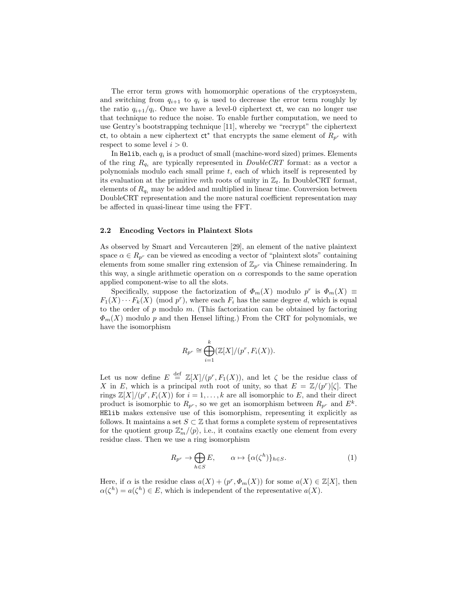The error term grows with homomorphic operations of the cryptosystem, and switching from  $q_{i+1}$  to  $q_i$  is used to decrease the error term roughly by the ratio  $q_{i+1}/q_i$ . Once we have a level-0 ciphertext  $ct$ , we can no longer use that technique to reduce the noise. To enable further computation, we need to use Gentry's bootstrapping technique [11], whereby we "recrypt" the ciphertext ct, to obtain a new ciphertext  $ct^*$  that encrypts the same element of  $R_{p^r}$  with respect to some level  $i > 0$ .

In Helib, each  $q_i$  is a product of small (machine-word sized) primes. Elements of the ring  $R_{q_i}$  are typically represented in  $DoubleCRT$  format: as a vector a polynomials modulo each small prime  $t$ , each of which itself is represented by its evaluation at the primitive mth roots of unity in  $\mathbb{Z}_t$ . In DoubleCRT format, elements of  $R_{q_i}$  may be added and multiplied in linear time. Conversion between DoubleCRT representation and the more natural coefficient representation may be affected in quasi-linear time using the FFT.

#### 2.2 Encoding Vectors in Plaintext Slots

As observed by Smart and Vercauteren [29], an element of the native plaintext space  $\alpha \in R_{p^r}$  can be viewed as encoding a vector of "plaintext slots" containing elements from some smaller ring extension of  $\mathbb{Z}_{p^r}$  via Chinese remaindering. In this way, a single arithmetic operation on  $\alpha$  corresponds to the same operation applied component-wise to all the slots.

Specifically, suppose the factorization of  $\Phi_m(X)$  modulo  $p^r$  is  $\Phi_m(X) \equiv$  $F_1(X) \cdots F_k(X)$  (mod  $p^r$ ), where each  $F_i$  has the same degree d, which is equal to the order of  $p$  modulo  $m$ . (This factorization can be obtained by factoring  $\Phi_m(X)$  modulo p and then Hensel lifting.) From the CRT for polynomials, we have the isomorphism

$$
R_{p^r} \cong \bigoplus_{i=1}^k (\mathbb{Z}[X]/(p^r, F_i(X)).
$$

Let us now define  $E \stackrel{\text{def}}{=} \mathbb{Z}[X]/(p^r, F_1(X))$ , and let  $\zeta$  be the residue class of X in E, which is a principal mth root of unity, so that  $E = \mathbb{Z}/(p^r)[\zeta]$ . The rings  $\mathbb{Z}[X]/(p^r, F_i(X))$  for  $i = 1, ..., k$  are all isomorphic to E, and their direct product is isomorphic to  $R_{p^r}$ , so we get an isomorphism between  $R_{p^r}$  and  $E^k$ . HElib makes extensive use of this isomorphism, representing it explicitly as follows. It maintains a set  $S \subset \mathbb{Z}$  that forms a complete system of representatives for the quotient group  $\mathbb{Z}_m^*/\langle p \rangle$ , i.e., it contains exactly one element from every residue class. Then we use a ring isomorphism

$$
R_{p^r} \to \bigoplus_{h \in S} E, \qquad \alpha \mapsto {\{\alpha(\zeta^h)\}}_{h \in S}.
$$
 (1)

Here, if  $\alpha$  is the residue class  $a(X) + (p^r, \Phi_m(X))$  for some  $a(X) \in \mathbb{Z}[X]$ , then  $\alpha(\zeta^h) = a(\zeta^h) \in E$ , which is independent of the representative  $a(X)$ .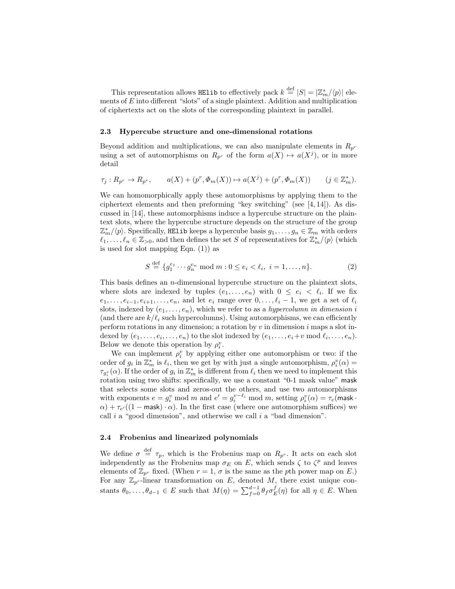This representation allows HElib to effectively pack  $k \stackrel{\text{def}}{=} |S| = |\mathbb{Z}_m^*/\langle p \rangle|$  elements of E into different "slots" of a single plaintext. Addition and multiplication of ciphertexts act on the slots of the corresponding plaintext in parallel.

#### 2.3 Hypercube structure and one-dimensional rotations

Beyond addition and multiplications, we can also manipulate elements in  $R_{p^r}$ using a set of automorphisms on  $R_{p^r}$  of the form  $a(X) \mapsto a(X^j)$ , or in more detail

$$
\tau_j: R_{p^r} \to R_{p^r}, \qquad a(X) + (p^r, \Phi_m(X)) \mapsto a(X^j) + (p^r, \Phi_m(X)) \qquad (j \in \mathbb{Z}_m^*).
$$

We can homomorphically apply these automorphisms by applying them to the ciphertext elements and then preforming "key switching" (see [4, 14]). As discussed in [14], these automorphisms induce a hypercube structure on the plaintext slots, where the hypercube structure depends on the structure of the group  $\mathbb{Z}_m^*/\langle p \rangle$ . Specifically, HElib keeps a hypercube basis  $g_1, \ldots, g_n \in \mathbb{Z}_m$  with orders  $\ell_1, \ldots, \ell_n \in \mathbb{Z}_{>0}$ , and then defines the set S of representatives for  $\mathbb{Z}_m^*/\langle p \rangle$  (which is used for slot mapping Eqn.  $(1)$  as

$$
S \stackrel{\text{def}}{=} \{g_1^{e_1} \cdots g_n^{e_n} \text{ mod } m : 0 \le e_i < \ell_i, \ i = 1, \dots, n\}.
$$
 (2)

This basis defines an n-dimensional hypercube structure on the plaintext slots, where slots are indexed by tuples  $(e_1, \ldots, e_n)$  with  $0 \le e_i < \ell_i$ . If we fix  $e_1, \ldots, e_{i-1}, e_{i+1}, \ldots, e_n$ , and let  $e_i$  range over  $0, \ldots, \ell_i - 1$ , we get a set of  $\ell_i$ slots, indexed by  $(e_1, \ldots, e_n)$ , which we refer to as a *hypercolumn in dimension i* (and there are  $k/\ell_i$  such hypercolumns). Using automorphisms, we can efficiently perform rotations in any dimension; a rotation by  $v$  in dimension  $i$  maps a slot indexed by  $(e_1, \ldots, e_i, \ldots, e_n)$  to the slot indexed by  $(e_1, \ldots, e_i+v \bmod l_i, \ldots, e_n)$ . Below we denote this operation by  $\rho_i^v$ .

We can implement  $\rho_i^v$  by applying either one automorphism or two: if the order of  $g_i$  in  $\mathbb{Z}_m^*$  is  $\ell_i$ , then we get by with just a single automorphism,  $\rho_i^v(\alpha) =$  $\tau_{g_i^v}(\alpha)$ . If the order of  $g_i$  in  $\mathbb{Z}_m^*$  is different from  $\ell_i$  then we need to implement this rotation using two shifts: specifically, we use a constant "0-1 mask value" mask that selects some slots and zeros-out the others, and use two automorphisms with exponents  $e = g_i^v \mod m$  and  $e' = g_i^{v-\ell_i} \mod m$ , setting  $\rho_i^v(\alpha) = \tau_e(\text{mask} \cdot \text{mask})$  $\alpha$ ) +  $\tau_{e'}((1 - \text{mask}) \cdot \alpha)$ . In the first case (where one automorphism suffices) we call  $i$  a "good dimension", and otherwise we call  $i$  a "bad dimension".

# 2.4 Frobenius and linearized polynomials

We define  $\sigma \stackrel{\text{def}}{=} \tau_p$ , which is the Frobenius map on  $R_{p^r}$ . It acts on each slot independently as the Frobenius map  $\sigma_E$  on E, which sends  $\zeta$  to  $\zeta^p$  and leaves elements of  $\mathbb{Z}_{p^r}$  fixed. (When  $r = 1$ ,  $\sigma$  is the same as the pth power map on E.) For any  $\mathbb{Z}_{p^r}$ -linear transformation on E, denoted M, there exist unique constants  $\theta_0, \ldots, \theta_{d-1} \in E$  such that  $M(\eta) = \sum_{f=0}^{d-1} \theta_f \sigma_E^f(\eta)$  for all  $\eta \in E$ . When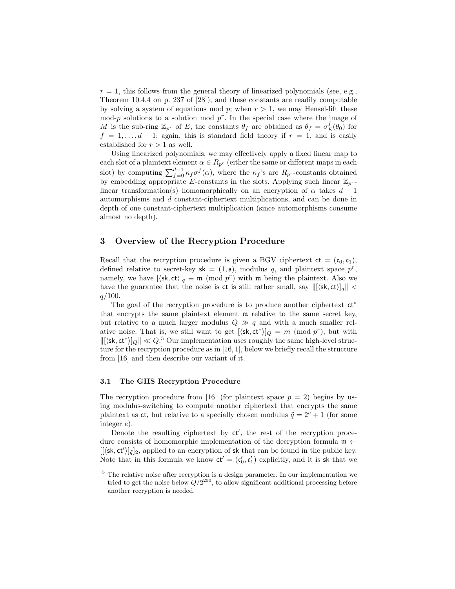$r = 1$ , this follows from the general theory of linearized polynomials (see, e.g., Theorem 10.4.4 on p. 237 of [28]), and these constants are readily computable by solving a system of equations mod p; when  $r > 1$ , we may Hensel-lift these mod-p solutions to a solution mod  $p^r$ . In the special case where the image of M is the sub-ring  $\mathbb{Z}_{p^r}$  of E, the constants  $\theta_f$  are obtained as  $\theta_f = \sigma_E^f(\theta_0)$  for  $f = 1, \ldots, d-1$ ; again, this is standard field theory if  $r = 1$ , and is easily established for  $r > 1$  as well.

Using linearized polynomials, we may effectively apply a fixed linear map to each slot of a plaintext element  $\alpha \in R_{p^r}$  (either the same or different maps in each slot) by computing  $\sum_{f=0}^{d-1} \kappa_f \sigma^f(\alpha)$ , where the  $\kappa_f$ 's are  $R_{p^r}$ -constants obtained by embedding appropriate E-constants in the slots. Applying such linear  $\mathbb{Z}_{p^{r}}$ linear transformation(s) homomorphically on an encryption of  $\alpha$  takes  $d-1$ automorphisms and d constant-ciphertext multiplications, and can be done in depth of one constant-ciphertext multiplication (since automorphisms consume almost no depth).

### 3 Overview of the Recryption Procedure

Recall that the recryption procedure is given a BGV ciphertext  $ct = (c_0, c_1)$ , defined relative to secret-key  $sk = (1, \mathfrak{s})$ , modulus q, and plaintext space  $p^r$ , namely, we have  $[\langle \mathsf{sk}, \mathsf{ct} \rangle]_q \equiv \mathfrak{m} \pmod{p^r}$  with  $\mathfrak{m}$  being the plaintext. Also we have the guarantee that the noise is ct is still rather small, say  $\|[\langle sk, ct \rangle]_q \|$  <  $q/100$ .

The goal of the recryption procedure is to produce another ciphertext ct<sup>∗</sup> that encrypts the same plaintext element m relative to the same secret key, but relative to a much larger modulus  $Q \gg q$  and with a much smaller relative noise. That is, we still want to get  $[\langle sk, ct^* \rangle]_Q = m \pmod{p^r}$ , but with  $\|[\langle \mathsf{sk} , \mathsf{ct}^* \rangle]_Q \| \ll Q^{.5}$  Our implementation uses roughly the same high-level structure for the recryption procedure as in [16, 1], below we briefly recall the structure from [16] and then describe our variant of it.

### 3.1 The GHS Recryption Procedure

The recryption procedure from [16] (for plaintext space  $p = 2$ ) begins by using modulus-switching to compute another ciphertext that encrypts the same plaintext as ct, but relative to a specially chosen modulus  $\tilde{q} = 2^e + 1$  (for some integer e).

Denote the resulting ciphertext by ct', the rest of the recryption procedure consists of homomorphic implementation of the decryption formula  $\mathfrak{m} \leftarrow$ [[ $\langle \mathsf{sk}, \mathsf{ct'} \rangle |_{\tilde{q}}|_2$ , applied to an encryption of sk that can be found in the public key. Note that in this formula we know  $ct' = (c'_0, c'_1)$  explicitly, and it is sk that we

<sup>5</sup> The relative noise after recryption is a design parameter. In our implementation we tried to get the noise below  $Q/2^{250}$ , to allow significant additional processing before another recryption is needed.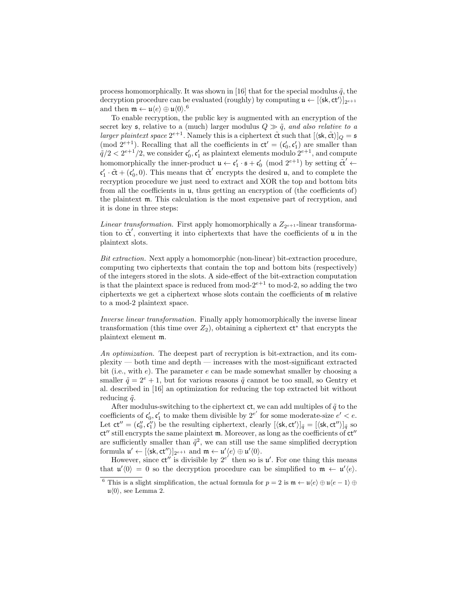process homomorphically. It was shown in [16] that for the special modulus  $\tilde{q}$ , the decryption procedure can be evaluated (roughly) by computing  $\mathfrak{u} \leftarrow [\langle \mathsf{sk}, \mathsf{ct}' \rangle]_{2^{e+1}}$ and then  $\mathfrak{m} \leftarrow \mathfrak{u}\langle e \rangle \oplus \mathfrak{u} \langle 0 \rangle$ .<sup>6</sup>

To enable recryption, the public key is augmented with an encryption of the secret key  $\mathfrak{s}$ , relative to a (much) larger modulus  $Q \gg \tilde{q}$ , and also relative to a larger plaintext space  $2^{e+1}$ . Namely this is a ciphertext  $\tilde{c}t$  such that  $[\langle sk, \tilde{ct} \rangle]_Q = \mathfrak{s}$ (mod  $2^{e+1}$ ). Recalling that all the coefficients in  $ct' = (c'_0, c'_1)$  are smaller than  $\tilde{q}/2 < 2^{e+1}/2$ , we consider  $\mathfrak{c}'_0$ ,  $\mathfrak{c}'_1$  as plaintext elements modulo  $2^{e+1}$ , and compute homomorphically the inner-product  $\mathfrak{u} \leftarrow \mathfrak{c}'_1 \cdot \mathfrak{s} + \mathfrak{c}'_0 \pmod{2^{e+1}}$  by setting  $\tilde{\mathfrak{c}}' \leftarrow$  $c'_1 \cdot \tilde{c}t + (c'_0, 0)$ . This means that  $\tilde{c}t'$  encrypts the desired u, and to complete the recryption procedure we just need to extract and XOR the top and bottom bits from all the coefficients in u, thus getting an encryption of (the coefficients of) the plaintext m. This calculation is the most expensive part of recryption, and it is done in three steps:

*Linear transformation*. First apply homomorphically a  $Z_{2^{e+1}}$ -linear transformation to  $\tilde{\text{ct}}'$ , converting it into ciphertexts that have the coefficients of  $\mu$  in the plaintext slots.

Bit extraction. Next apply a homomorphic (non-linear) bit-extraction procedure, computing two ciphertexts that contain the top and bottom bits (respectively) of the integers stored in the slots. A side-effect of the bit-extraction computation is that the plaintext space is reduced from  $\text{mod-}2^{e+1}$  to  $\text{mod-}2$ , so adding the two ciphertexts we get a ciphertext whose slots contain the coefficients of m relative to a mod-2 plaintext space.

Inverse linear transformation. Finally apply homomorphically the inverse linear transformation (this time over  $Z_2$ ), obtaining a ciphertext  $ct^*$  that encrypts the plaintext element m.

An optimization. The deepest part of recryption is bit-extraction, and its complexity — both time and depth — increases with the most-significant extracted bit (i.e., with  $e$ ). The parameter  $e$  can be made somewhat smaller by choosing a smaller  $\tilde{q} = 2^e + 1$ , but for various reasons  $\tilde{q}$  cannot be too small, so Gentry et al. described in [16] an optimization for reducing the top extracted bit without reducing  $\tilde{q}$ .

After modulus-switching to the ciphertext  $ct$ , we can add multiples of  $\tilde{q}$  to the coefficients of  $\mathfrak{c}'_0$ ,  $\mathfrak{c}'_1$  to make them divisible by  $2^{e'}$  for some moderate-size  $e' < e$ . Let  $ct'' = (c''_0, c''_1)$  be the resulting ciphertext, clearly  $[\langle sk, ct' \rangle]_{\tilde{q}} = [\langle sk, ct'' \rangle]_{\tilde{q}}$  so  $ct''$  still encrypts the same plaintext  $m$ . Moreover, as long as the coefficients of  $ct''$ are sufficiently smaller than  $\tilde{q}^2$ , we can still use the same simplified decryption formula  $\mathfrak{u}' \leftarrow [\langle \mathsf{sk}, \mathsf{ct}' \rangle]_{2^{e+1}}$  and  $\mathfrak{m} \leftarrow \mathfrak{u}' \langle e \rangle \oplus \mathfrak{u}' \langle 0 \rangle$ .

However, since  $ct''$  is divisible by  $2^{e'}$  then so is  $u'$ . For one thing this means that  $u'(0) = 0$  so the decryption procedure can be simplified to  $m \leftarrow u'(e)$ .

<sup>&</sup>lt;sup>6</sup> This is a slight simplification, the actual formula for  $p = 2$  is  $\mathfrak{m} \leftarrow \mathfrak{u}(e) \oplus \mathfrak{u}(e-1) \oplus$  $u(0)$ , see Lemma 2.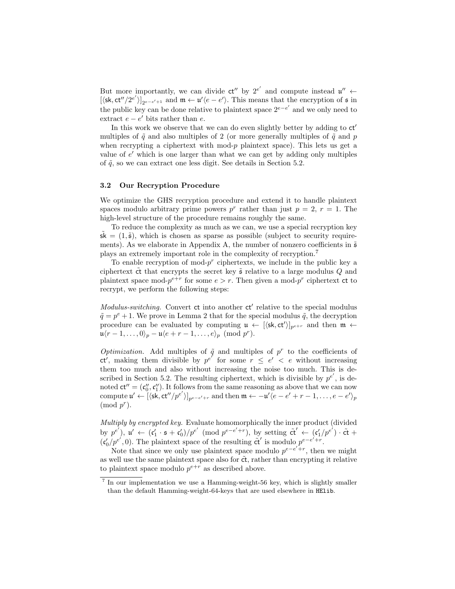But more importantly, we can divide  $ct''$  by  $2^{e'}$  and compute instead  $\mathfrak{u}'' \leftarrow$  $[\langle \mathsf{sk}, \mathsf{ct}''/2^{e'} \rangle]_{2^{e-e'+1}}$  and  $\mathfrak{m} \leftarrow \mathfrak{u}' \langle e - e' \rangle$ . This means that the encryption of  $\mathfrak s$  in the public key can be done relative to plaintext space  $2^{e-e'}$  and we only need to extract  $e - e'$  bits rather than  $e$ .

In this work we observe that we can do even slightly better by adding to  $ct'$ multiples of  $\tilde{q}$  and also multiples of 2 (or more generally multiples of  $\tilde{q}$  and p when recrypting a ciphertext with mod-p plaintext space). This lets us get a value of  $e'$  which is one larger than what we can get by adding only multiples of  $\tilde{q}$ , so we can extract one less digit. See details in Section 5.2.

### 3.2 Our Recryption Procedure

We optimize the GHS recryption procedure and extend it to handle plaintext spaces modulo arbitrary prime powers  $p^r$  rather than just  $p = 2, r = 1$ . The high-level structure of the procedure remains roughly the same.

To reduce the complexity as much as we can, we use a special recryption key  $sk = (1, \tilde{s})$ , which is chosen as sparse as possible (subject to security requirements). As we elaborate in Appendix A, the number of nonzero coefficients in  $\tilde{\mathfrak{s}}$ plays an extremely important role in the complexity of recryption.<sup>7</sup>

To enable recryption of mod- $p^r$  ciphertexts, we include in the public key a ciphertext  $\tilde{c}t$  that encrypts the secret key  $\tilde{s}$  relative to a large modulus  $Q$  and plaintext space mod- $p^{e+r}$  for some  $e > r$ . Then given a mod- $p^r$  ciphertext ct to recrypt, we perform the following steps:

Modulus-switching. Convert ct into another ct' relative to the special modulus  $\tilde{q} = p^e + 1$ . We prove in Lemma 2 that for the special modulus  $\tilde{q}$ , the decryption procedure can be evaluated by computing  $\mathfrak{u} \leftarrow [\langle \mathsf{sk}, \mathsf{ct}' \rangle]_{p^{e+r}}$  and then  $\mathfrak{m} \leftarrow$  $\mathfrak{u}(r-1,\ldots,0)_p-\mathfrak{u}(e+r-1,\ldots,e)_p \pmod{p^r}.$ 

Optimization. Add multiples of  $\tilde{q}$  and multiples of p<sup>r</sup> to the coefficients of ct<sup>*i*</sup>, making them divisible by  $p^{e^t}$  for some  $r \leq e^t < e$  without increasing them too much and also without increasing the noise too much. This is described in Section 5.2. The resulting ciphertext, which is divisible by  $p^{e'}$ , is denoted  $ct'' = (c''_0, c''_1)$ . It follows from the same reasoning as above that we can now compute  $\mathfrak{u}' \leftarrow [\langle \mathsf{sk}, \mathsf{ct}''/p^{e'} \rangle]_{p^{e-e'+r}}$  and then  $\mathfrak{m} \leftarrow -\mathfrak{u}' \overline{\langle e-e'+r-1, \ldots, e-e' \rangle_p}$  $\pmod{p^r}.$ 

Multiply by encrypted key. Evaluate homomorphically the inner product (divided by  $p^{e'}$ ),  $u' \leftarrow (\mathfrak{c}'_1 \cdot \mathfrak{s} + \mathfrak{c}'_0)/p^{e'} \pmod{p^{e-e'+r}}$ , by setting  $\tilde{\mathfrak{c}} \leftarrow (\mathfrak{c}'_1/p^{e'}) \cdot \tilde{\mathfrak{c}} +$  $(c'_0/p^{e'}, 0)$ . The plaintext space of the resulting  $\tilde{ct}'$  is modulo  $p^{e-e'+r}$ .

Note that since we only use plaintext space modulo  $p^{e-e'+r}$ , then we might as well use the same plaintext space also for  $\tilde{c}t$ , rather than encrypting it relative to plaintext space modulo  $p^{e+r}$  as described above.

<sup>&</sup>lt;sup>7</sup> In our implementation we use a Hamming-weight-56 key, which is slightly smaller than the default Hamming-weight-64-keys that are used elsewhere in HElib.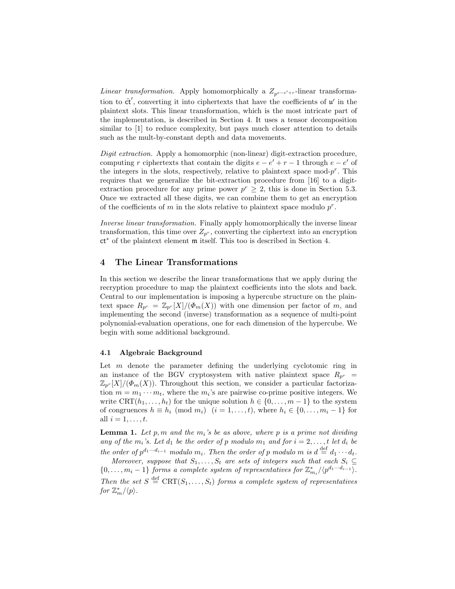*Linear transformation.* Apply homomorphically a  $Z_{pe-e'+r}$ -linear transformation to  $\tilde{\text{ct}}'$ , converting it into ciphertexts that have the coefficients of  $\mathfrak{u}'$  in the plaintext slots. This linear transformation, which is the most intricate part of the implementation, is described in Section 4. It uses a tensor decomposition similar to [1] to reduce complexity, but pays much closer attention to details such as the mult-by-constant depth and data movements.

Digit extraction. Apply a homomorphic (non-linear) digit-extraction procedure, computing r ciphertexts that contain the digits  $e - e' + r - 1$  through  $e - e'$  of the integers in the slots, respectively, relative to plaintext space  $mod\text{-}p^r$ . This requires that we generalize the bit-extraction procedure from [16] to a digitextraction procedure for any prime power  $p^r \geq 2$ , this is done in Section 5.3. Once we extracted all these digits, we can combine them to get an encryption of the coefficients of m in the slots relative to plaintext space modulo  $p^r$ .

Inverse linear transformation. Finally apply homomorphically the inverse linear transformation, this time over  $Z_{p^r}$ , converting the ciphertext into an encryption ct<sup>∗</sup> of the plaintext element m itself. This too is described in Section 4.

# 4 The Linear Transformations

In this section we describe the linear transformations that we apply during the recryption procedure to map the plaintext coefficients into the slots and back. Central to our implementation is imposing a hypercube structure on the plaintext space  $R_{p^r} = \mathbb{Z}_{p^r}[X]/(\Phi_m(X))$  with one dimension per factor of m, and implementing the second (inverse) transformation as a sequence of multi-point polynomial-evaluation operations, one for each dimension of the hypercube. We begin with some additional background.

#### 4.1 Algebraic Background

Let  $m$  denote the parameter defining the underlying cyclotomic ring in an instance of the BGV cryptosystem with native plaintext space  $R_{p^r}$  =  $\mathbb{Z}_{p^r}[X]/(\Phi_m(X))$ . Throughout this section, we consider a particular factorization  $m = m_1 \cdots m_t$ , where the  $m_i$ 's are pairwise co-prime positive integers. We write  $\text{CRT}(h_1, \ldots, h_t)$  for the unique solution  $h \in \{0, \ldots, m-1\}$  to the system of congruences  $h \equiv h_i \pmod{m_i}$   $(i = 1, \ldots, t)$ , where  $h_i \in \{0, \ldots, m_i - 1\}$  for all  $i = 1, \ldots, t$ .

**Lemma 1.** Let p, m and the  $m_i$ 's be as above, where p is a prime not dividing any of the  $m_i$ 's. Let  $d_1$  be the order of p modulo  $m_1$  and for  $i = 2, \ldots, t$  let  $d_i$  be the order of  $p^{d_1 \cdots d_{i-1}}$  modulo  $m_i$ . Then the order of p modulo  $m$  is  $d \stackrel{\text{def}}{=} d_1 \cdots d_t$ .

Moreover, suppose that  $S_1, \ldots, S_t$  are sets of integers such that each  $S_i \subseteq$  $\{0,\ldots,m_i-1\}$  forms a complete system of representatives for  $\mathbb{Z}_{m_i}^*/\langle p^{d_1\cdots d_{i-1}}\rangle$ . Then the set  $S \stackrel{\text{def}}{=} \text{CRT}(S_1, \ldots, S_t)$  forms a complete system of representatives for  $\mathbb{Z}_m^*/\langle p \rangle$ .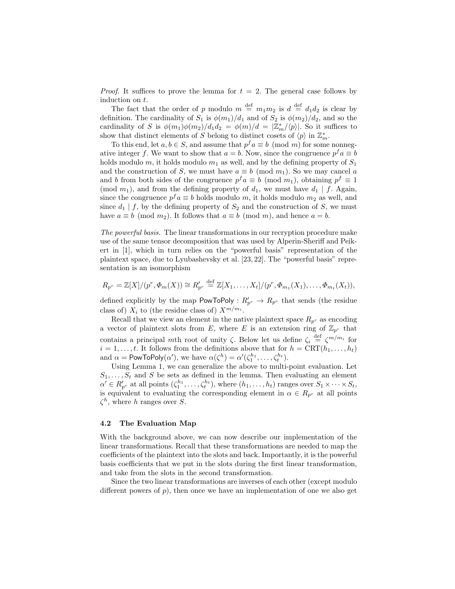*Proof.* It suffices to prove the lemma for  $t = 2$ . The general case follows by induction on t.

The fact that the order of p modulo  $m \stackrel{\text{def}}{=} m_1 m_2$  is  $d \stackrel{\text{def}}{=} d_1 d_2$  is clear by definition. The cardinality of  $S_1$  is  $\phi(m_1)/d_1$  and of  $S_2$  is  $\phi(m_2)/d_2$ , and so the cardinality of S is  $\phi(m_1)\phi(m_2)/d_1d_2 = \phi(m)/d = |\mathbb{Z}_m^*/p\rangle$ . So it suffices to show that distinct elements of S belong to distinct cosets of  $\langle p \rangle$  in  $\mathbb{Z}_m^*$ .

To this end, let  $a, b \in S$ , and assume that  $p^f a \equiv b \pmod{m}$  for some nonnegative integer f. We want to show that  $a = b$ . Now, since the congruence  $p^f a \equiv b$ holds modulo m, it holds modulo  $m_1$  as well, and by the defining property of  $S_1$ and the construction of S, we must have  $a \equiv b \pmod{m_1}$ . So we may cancel a and b from both sides of the congruence  $p^fa \equiv b \pmod{m_1}$ , obtaining  $p^f \equiv 1$ (mod  $m_1$ ), and from the defining property of  $d_1$ , we must have  $d_1 \mid f$ . Again, since the congruence  $p^fa \equiv b$  holds modulo m, it holds modulo  $m_2$  as well, and since  $d_1 | f$ , by the defining property of  $S_2$  and the construction of S, we must have  $a \equiv b \pmod{m_2}$ . It follows that  $a \equiv b \pmod{m}$ , and hence  $a = b$ .

The powerful basis. The linear transformations in our recryption procedure make use of the same tensor decomposition that was used by Alperin-Sheriff and Peikert in [1], which in turn relies on the "powerful basis" representation of the plaintext space, due to Lyubashevsky et al. [23, 22]. The "powerful basis" representation is an isomorphism

$$
R_{p^r} = \mathbb{Z}[X]/(p^r, \Phi_m(X)) \cong R'_{p^r} \stackrel{\text{def}}{=} \mathbb{Z}[X_1, \dots, X_t]/(p^r, \Phi_{m_1}(X_1), \dots, \Phi_{m_t}(X_t)),
$$

defined explicitly by the map PowToPoly :  $R'_{p^r} \to R_{p^r}$  that sends (the residue class of)  $X_i$  to (the residue class of)  $X^{m/m_i}$ .

Recall that we view an element in the native plaintext space  $R_{p^r}$  as encoding a vector of plaintext slots from E, where E is an extension ring of  $\mathbb{Z}_{p^r}$  that contains a principal mth root of unity  $\zeta$ . Below let us define  $\zeta_i \stackrel{\text{def}}{=} \zeta^{m/m_i}$  for  $i = 1, \ldots, t$ . It follows from the definitions above that for  $h = \text{CRT}(h_1, \ldots, h_t)$ and  $\alpha = \text{PowToPoly}(\alpha'),$  we have  $\alpha(\zeta^h) = \alpha'(\zeta_1^{h_1}, \dots, \zeta_t^{h_t}).$ 

Using Lemma 1, we can generalize the above to multi-point evaluation. Let  $S_1, \ldots, S_t$  and S be sets as defined in the lemma. Then evaluating an element  $\alpha' \in R'_{p^r}$  at all points  $(\zeta_1^{h_1}, \ldots, \zeta_t^{h_t}),$  where  $(h_1, \ldots, h_t)$  ranges over  $S_1 \times \cdots \times S_t$ , is equivalent to evaluating the corresponding element in  $\alpha \in R_{p^r}$  at all points  $\zeta^h$ , where h ranges over S.

#### 4.2 The Evaluation Map

With the background above, we can now describe our implementation of the linear transformations. Recall that these transformations are needed to map the coefficients of the plaintext into the slots and back. Importantly, it is the powerful basis coefficients that we put in the slots during the first linear transformation, and take from the slots in the second transformation.

Since the two linear transformations are inverses of each other (except modulo different powers of  $p$ ), then once we have an implementation of one we also get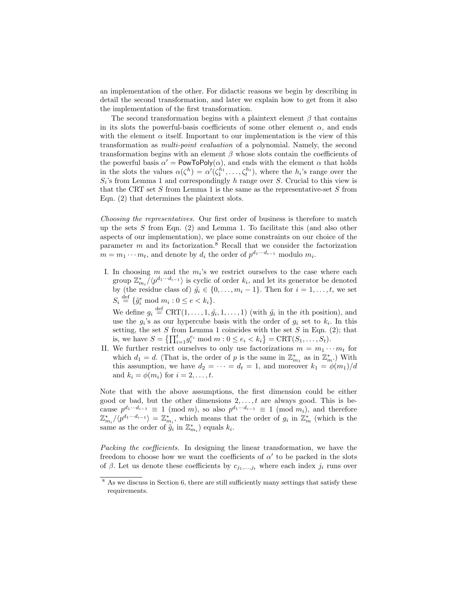an implementation of the other. For didactic reasons we begin by describing in detail the second transformation, and later we explain how to get from it also the implementation of the first transformation.

The second transformation begins with a plaintext element  $\beta$  that contains in its slots the powerful-basis coefficients of some other element  $\alpha$ , and ends with the element  $\alpha$  itself. Important to our implementation is the view of this transformation as multi-point evaluation of a polynomial. Namely, the second transformation begins with an element  $\beta$  whose slots contain the coefficients of the powerful basis  $\alpha' = \text{PowToPoly}(\alpha)$ , and ends with the element  $\alpha$  that holds in the slots the values  $\alpha(\zeta^h) = \alpha'(\zeta_1^{h_1}, \ldots, \zeta_t^{h_t})$ , where the  $h_i$ 's range over the  $S_i$ 's from Lemma 1 and correspondingly h range over S. Crucial to this view is that the CRT set  $S$  from Lemma 1 is the same as the representative-set  $S$  from Eqn. (2) that determines the plaintext slots.

Choosing the representatives. Our first order of business is therefore to match up the sets  $S$  from Eqn. (2) and Lemma 1. To facilitate this (and also other aspects of our implementation), we place some constraints on our choice of the parameter  $m$  and its factorization.<sup>8</sup> Recall that we consider the factorization  $m = m_1 \cdots m_t$ , and denote by  $d_i$  the order of  $p^{d_1 \cdots d_{i-1}}$  modulo  $m_i$ .

I. In choosing  $m$  and the  $m_i$ 's we restrict ourselves to the case where each group  $\mathbb{Z}_{m_i}^*/\langle p^{d_1\cdots d_{i-1}}\rangle$  is cyclic of order  $k_i$ , and let its generator be denoted by (the residue class of)  $\tilde{g}_i \in \{0, \ldots, m_i - 1\}$ . Then for  $i = 1, \ldots, t$ , we set  $S_i \stackrel{\text{def}}{=} \{ \tilde{g}_i^e \text{ mod } m_i : 0 \le e < k_i \}.$ 

We define  $g_i \stackrel{\text{def}}{=} \text{CRT}(1, \ldots, 1, \tilde{g}_i, 1, \ldots, 1)$  (with  $\tilde{g}_i$  in the *i*th position), and use the  $g_i$ 's as our hypercube basis with the order of  $g_i$  set to  $k_i$ . In this setting, the set  $S$  from Lemma 1 coincides with the set  $S$  in Eqn. (2); that is, we have  $S = \left\{ \prod_{i=1}^{t} g_i^{e_i} \mod m : 0 \le e_i < k_i \right\} = \text{CRT}(S_1, \ldots, S_t)$ .

II. We further restrict ourselves to only use factorizations  $m = m_1 \cdots m_t$  for which  $d_1 = d$ . (That is, the order of p is the same in  $\mathbb{Z}_{m_1}^*$  as in  $\mathbb{Z}_m^*$ .) With this assumption, we have  $d_2 = \cdots = d_t = 1$ , and moreover  $k_1 = \phi(m_1)/d$ and  $k_i = \phi(m_i)$  for  $i = 2, \ldots, t$ .

Note that with the above assumptions, the first dimension could be either good or bad, but the other dimensions  $2, \ldots, t$  are always good. This is because  $p^{d_1 \cdots d_{i-1}} \equiv 1 \pmod{m}$ , so also  $p^{d_1 \cdots d_{i-1}} \equiv 1 \pmod{m_i}$ , and therefore  $\mathbb{Z}_{m_i}^* / \langle p^{d_1 \cdots d_{i-1}} \rangle = \mathbb{Z}_{m_i}^*$ , which means that the order of  $g_i$  in  $\mathbb{Z}_m^*$  (which is the same as the order of  $\tilde{g}_i$  in  $\mathbb{Z}_{m_i}^*$  equals  $k_i$ .

Packing the coefficients. In designing the linear transformation, we have the freedom to choose how we want the coefficients of  $\alpha'$  to be packed in the slots of  $\beta$ . Let us denote these coefficients by  $c_{j_1,...,j_t}$  where each index  $j_i$  runs over

<sup>&</sup>lt;sup>8</sup> As we discuss in Section 6, there are still sufficiently many settings that satisfy these requirements.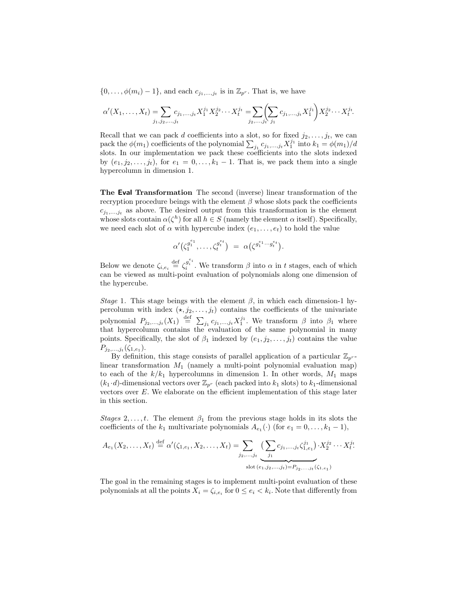$\{0, \ldots, \phi(m_i) - 1\}$ , and each  $c_{j_1, \ldots, j_t}$  is in  $\mathbb{Z}_{p^r}$ . That is, we have

$$
\alpha'(X_1, \ldots, X_t) = \sum_{j_1, j_2, \ldots, j_t} c_{j_1, \ldots, j_t} X_1^{j_1} X_2^{j_2} \cdots X_t^{j_t} = \sum_{j_2, \ldots, j_t} \left( \sum_{j_1, \ldots, j_t} c_{j_1, \ldots, j_t} X_1^{j_1} \right) X_2^{j_2} \cdots X_t^{j_t}.
$$

Recall that we can pack d coefficients into a slot, so for fixed  $j_2, \ldots, j_t$ , we can pack the  $\phi(m_1)$  coefficients of the polynomial  $\sum_{j_1} c_{j_1,\dots,j_t} X_1^{j_1}$  into  $k_1 = \phi(m_1)/d$ slots. In our implementation we pack these coefficients into the slots indexed by  $(e_1, j_2, \ldots, j_t)$ , for  $e_1 = 0, \ldots, k_1 - 1$ . That is, we pack them into a single hypercolumn in dimension 1.

The Eval Transformation The second (inverse) linear transformation of the recryption procedure beings with the element  $\beta$  whose slots pack the coefficients  $c_{j_1,\dots,j_t}$  as above. The desired output from this transformation is the element whose slots contain  $\alpha(\zeta^h)$  for all  $h \in S$  (namely the element  $\alpha$  itself). Specifically, we need each slot of  $\alpha$  with hypercube index  $(e_1, \ldots, e_t)$  to hold the value

$$
\alpha'\big(\zeta_1^{g_1^{e_1}},\ldots,\zeta_t^{g_t^{e_t}}\big) = \alpha\big(\zeta^{g_1^{e_1}\cdots g_t^{e_t}}\big).
$$

Below we denote  $\zeta_{i,e_i} \stackrel{\text{def}}{=} \zeta_i^{g_i^{e_i}}$ . We transform  $\beta$  into  $\alpha$  in t stages, each of which can be viewed as multi-point evaluation of polynomials along one dimension of the hypercube.

Stage 1. This stage beings with the element  $\beta$ , in which each dimension-1 hypercolumn with index  $(x, j_2, \ldots, j_t)$  contains the coefficients of the univariate polynomial  $P_{j_2,...,j_t}(X_1) \stackrel{\text{def}}{=} \sum_{j_1} c_{j_1,...,j_t} X_1^{j_1}$ . We transform  $\beta$  into  $\beta_1$  where that hypercolumn contains the evaluation of the same polynomial in many points. Specifically, the slot of  $\beta_1$  indexed by  $(e_1, j_2, \ldots, j_t)$  contains the value  $P_{j_2,...,j_t}(\zeta_{1,e_1}).$ 

By definition, this stage consists of parallel application of a particular  $\mathbb{Z}_{p^{r}}$ linear transformation  $M_1$  (namely a multi-point polynomial evaluation map) to each of the  $k/k_1$  hypercolumns in dimension 1. In other words,  $M_1$  maps  $(k_1 \cdot d)$ -dimensional vectors over  $\mathbb{Z}_{p^r}$  (each packed into  $k_1$  slots) to  $k_1$ -dimensional vectors over E. We elaborate on the efficient implementation of this stage later in this section.

Stages 2, ..., t. The element  $\beta_1$  from the previous stage holds in its slots the coefficients of the  $k_1$  multivariate polynomials  $A_{e_1}(\cdot)$  (for  $e_1 = 0, \ldots, k_1 - 1$ ),

$$
A_{e_1}(X_2, \ldots, X_t) \stackrel{\text{def}}{=} \alpha'(\zeta_{1, e_1}, X_2, \ldots, X_t) = \sum_{j_2, \ldots, j_t} \underbrace{\left(\sum_{j_1} c_{j_1, \ldots, j_t} \zeta_{1, e_1}^{j_1}\right) \cdot X_2^{j_2} \cdots X_t^{j_t}}_{\text{slot } (e_1, j_2, \ldots, j_t) = P_{j_2, \ldots, j_t}(\zeta_{1, e_1})}
$$

The goal in the remaining stages is to implement multi-point evaluation of these polynomials at all the points  $X_i = \zeta_{i,e_i}$  for  $0 \leq e_i \leq k_i$ . Note that differently from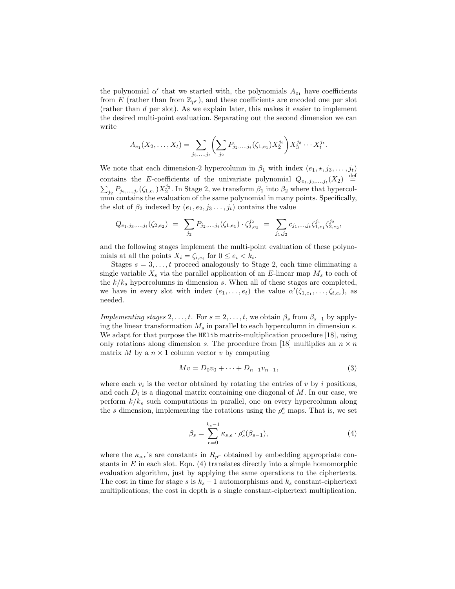the polynomial  $\alpha'$  that we started with, the polynomials  $A_{e_1}$  have coefficients from E (rather than from  $\mathbb{Z}_{p^r}$ ), and these coefficients are encoded one per slot (rather than d per slot). As we explain later, this makes it easier to implement the desired multi-point evaluation. Separating out the second dimension we can write

$$
A_{e_1}(X_2,\ldots,X_t) = \sum_{j_3,\ldots,j_t} \left( \sum_{j_2} P_{j_2,\ldots,j_t}(\zeta_{1,e_1}) X_2^{j_2} \right) X_3^{j_3} \cdots X_t^{j_t}.
$$

We note that each dimension-2 hypercolumn in  $\beta_1$  with index  $(e_1, \star, j_3, \ldots, j_t)$ contains the E-coefficients of the univariate polynomial  $Q_{e_1, j_3, ..., j_t}(X_2) \stackrel{\text{def}}{=}$  $\sum_{j_2} P_{j_2,\dots,j_t}(\zeta_{1,e_1}) X_2^{j_2}$ . In Stage 2, we transform  $\beta_1$  into  $\beta_2$  where that hypercolumn contains the evaluation of the same polynomial in many points. Specifically, the slot of  $\beta_2$  indexed by  $(e_1, e_2, j_3 \ldots, j_t)$  contains the value

$$
Q_{e_1,j_3,\dots,j_t}(\zeta_{2,e_2}) = \sum_{j_2} P_{j_2,\dots,j_t}(\zeta_{1,e_1}) \cdot \zeta_{2,e_2}^{j_2} = \sum_{j_1,j_2} c_{j_1,\dots,j_t} \zeta_{1,e_1}^{j_1} \zeta_{2,e_2}^{j_2},
$$

and the following stages implement the multi-point evaluation of these polynomials at all the points  $X_i = \zeta_{i,e_i}$  for  $0 \le e_i < k_i$ .

Stages  $s = 3, \ldots, t$  proceed analogously to Stage 2, each time eliminating a single variable  $X_s$  via the parallel application of an E-linear map  $M_s$  to each of the  $k/k<sub>s</sub>$  hypercolumns in dimension s. When all of these stages are completed, we have in every slot with index  $(e_1, \ldots, e_t)$  the value  $\alpha'(\zeta_{1,e_1}, \ldots, \zeta_{t,e_t}),$  as needed.

Implementing stages 2, ..., t. For  $s = 2, \ldots, t$ , we obtain  $\beta_s$  from  $\beta_{s-1}$  by applying the linear transformation  $M_s$  in parallel to each hypercolumn in dimension s. We adapt for that purpose the **HElib** matrix-multiplication procedure [18], using only rotations along dimension s. The procedure from [18] multiplies an  $n \times n$ matrix M by a  $n \times 1$  column vector v by computing

$$
Mv = D_0v_0 + \dots + D_{n-1}v_{n-1},\tag{3}
$$

where each  $v_i$  is the vector obtained by rotating the entries of v by i positions, and each  $D_i$  is a diagonal matrix containing one diagonal of  $M$ . In our case, we perform  $k/k<sub>s</sub>$  such computations in parallel, one on every hypercolumn along the s dimension, implementing the rotations using the  $\rho_s^e$  maps. That is, we set

$$
\beta_s = \sum_{e=0}^{k_s - 1} \kappa_{s,e} \cdot \rho_s^e(\beta_{s-1}),
$$
\n(4)

where the  $\kappa_{s,e}$ 's are constants in  $R_{p^r}$  obtained by embedding appropriate constants in  $E$  in each slot. Eqn. (4) translates directly into a simple homomorphic evaluation algorithm, just by applying the same operations to the ciphertexts. The cost in time for stage s is  $k_s - 1$  automorphisms and  $k_s$  constant-ciphertext multiplications; the cost in depth is a single constant-ciphertext multiplication.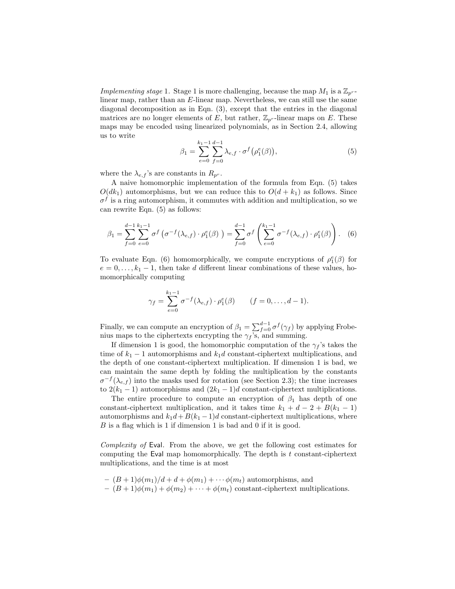Implementing stage 1. Stage 1 is more challenging, because the map  $M_1$  is a  $\mathbb{Z}_{p^r}$ linear map, rather than an E-linear map. Nevertheless, we can still use the same diagonal decomposition as in Eqn. (3), except that the entries in the diagonal matrices are no longer elements of E, but rather,  $\mathbb{Z}_{p^r}$ -linear maps on E. These maps may be encoded using linearized polynomials, as in Section 2.4, allowing us to write

$$
\beta_1 = \sum_{e=0}^{k_1 - 1} \sum_{f=0}^{d-1} \lambda_{e,f} \cdot \sigma^f(\rho_1^e(\beta)),
$$
\n(5)

where the  $\lambda_{e,f}$ 's are constants in  $R_{p^r}$ .

A naive homomorphic implementation of the formula from Eqn. (5) takes  $O(dk_1)$  automorphisms, but we can reduce this to  $O(d + k_1)$  as follows. Since  $\sigma^f$  is a ring automorphism, it commutes with addition and multiplication, so we can rewrite Eqn. (5) as follows:

$$
\beta_1 = \sum_{f=0}^{d-1} \sum_{e=0}^{k_1-1} \sigma^f \left( \sigma^{-f} (\lambda_{e,f}) \cdot \rho_1^e(\beta) \right) = \sum_{f=0}^{d-1} \sigma^f \left( \sum_{e=0}^{k_1-1} \sigma^{-f} (\lambda_{e,f}) \cdot \rho_1^e(\beta) \right). \tag{6}
$$

To evaluate Eqn. (6) homomorphically, we compute encryptions of  $\rho_1^e(\beta)$  for  $e = 0, \ldots, k_1 - 1$ , then take d different linear combinations of these values, homomorphically computing

$$
\gamma_f = \sum_{e=0}^{k_1-1} \sigma^{-f}(\lambda_{e,f}) \cdot \rho_1^e(\beta) \qquad (f = 0, \dots, d-1).
$$

Finally, we can compute an encryption of  $\beta_1 = \sum_{f=0}^{d-1} \sigma^f(\gamma_f)$  by applying Frobenius maps to the ciphertexts encrypting the  $\gamma_f$ 's, and summing.

If dimension 1 is good, the homomorphic computation of the  $\gamma_f$ 's takes the time of  $k_1 - 1$  automorphisms and  $k_1d$  constant-ciphertext multiplications, and the depth of one constant-ciphertext multiplication. If dimension 1 is bad, we can maintain the same depth by folding the multiplication by the constants  $\sigma^{-f}(\lambda_{e,f})$  into the masks used for rotation (see Section 2.3); the time increases to  $2(k_1 - 1)$  automorphisms and  $(2k_1 - 1)d$  constant-ciphertext multiplications.

The entire procedure to compute an encryption of  $\beta_1$  has depth of one constant-ciphertext multiplication, and it takes time  $k_1 + d - 2 + B(k_1 - 1)$ automorphisms and  $k_1d+B(k_1-1)d$  constant-ciphertext multiplications, where B is a flag which is 1 if dimension 1 is bad and 0 if it is good.

Complexity of Eval. From the above, we get the following cost estimates for computing the Eval map homomorphically. The depth is  $t$  constant-ciphertext multiplications, and the time is at most

- $-(B+1)\phi(m_1)/d + d + \phi(m_1) + \cdots \phi(m_t)$  automorphisms, and
- $-(B+1)\phi(m_1)+\phi(m_2)+\cdots+\phi(m_t)$  constant-ciphertext multiplications.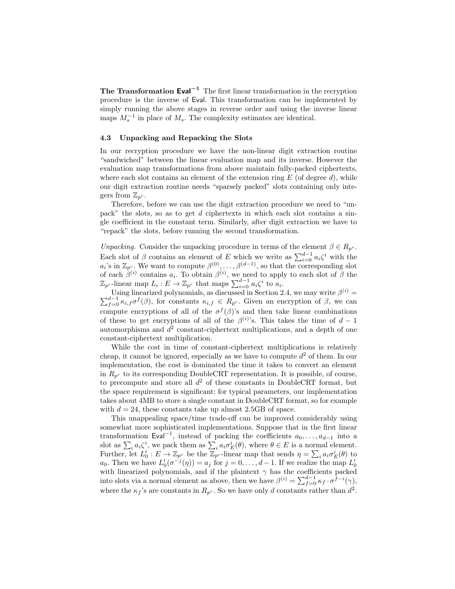The Transformation Eval<sup>-1</sup> The first linear transformation in the recryption procedure is the inverse of Eval. This transformation can be implemented by simply running the above stages in reverse order and using the inverse linear maps  $M_s^{-1}$  in place of  $M_s$ . The complexity estimates are identical.

### 4.3 Unpacking and Repacking the Slots

In our recryption procedure we have the non-linear digit extraction routine "sandwiched" between the linear evaluation map and its inverse. However the evaluation map transformations from above maintain fully-packed ciphertexts, where each slot contains an element of the extension ring  $E$  (of degree d), while our digit extraction routine needs "sparsely packed" slots containing only integers from  $\mathbb{Z}_{p^r}$ .

Therefore, before we can use the digit extraction procedure we need to "unpack" the slots, so as to get d ciphertexts in which each slot contains a single coefficient in the constant term. Similarly, after digit extraction we have to "repack" the slots, before running the second transformation.

Unpacking. Consider the unpacking procedure in terms of the element  $\beta \in R_{p^r}$ . Each slot of  $\beta$  contains an element of E which we write as  $\sum_{i=0}^{d-1} a_i \zeta^i$  with the  $a_i$ 's in  $\mathbb{Z}_{p^r}$ . We want to compute  $\beta^{(0)}, \ldots, \beta^{(d-1)}$ , so that the corresponding slot of each  $\beta^{(i)}$  contains  $a_i$ . To obtain  $\beta^{(i)}$ , we need to apply to each slot of  $\beta$  the  $\mathbb{Z}_{p^r}$ -linear map  $L_i: E \to \mathbb{Z}_{p^r}$  that maps  $\sum_{i=0}^{d-1} a_i \zeta^i$  to  $a_i$ .

Using linearized polynomials, as discussed in Section 2.4, we may write  $\beta^{(i)} =$ <br> $\frac{d^{-1} \kappa_i}{d} \epsilon \sigma f(\beta)$ , for constants  $\kappa_i \epsilon \in R$ . Given an encryption of  $\beta$ , we can  $\sum_{f=0}^{d-1} \kappa_{i,f} \sigma^f(\beta)$ , for constants  $\kappa_{i,f} \in R_{p^r}$ . Given an encryption of  $\beta$ , we can compute encryptions of all of the  $\sigma^f(\beta)$ 's and then take linear combinations of these to get encryptions of all of the  $\beta^{(i)}$ 's. This takes the time of  $d-1$ automorphisms and  $d^2$  constant-ciphertext multiplications, and a depth of one constant-ciphertext multiplication.

While the cost in time of constant-ciphertext multiplications is relatively cheap, it cannot be ignored, especially as we have to compute  $d^2$  of them. In our implementation, the cost is dominated the time it takes to convert an element in  $R_{p^r}$  to its corresponding DoubleCRT representation. It is possible, of course, to precompute and store all  $d^2$  of these constants in DoubleCRT format, but the space requirement is significant: for typical parameters, our implementation takes about 4MB to store a single constant in DoubleCRT format, so for example with  $d = 24$ , these constants take up almost 2.5GB of space.

This unappealing space/time trade-off can be improved considerably using somewhat more sophisticated implementations. Suppose that in the first linear transformation Eval<sup>-1</sup>, instead of packing the coefficients  $a_0, \ldots, a_{d-1}$  into a slot as  $\sum_i a_i \zeta^i$ , we pack them as  $\sum_i a_i \sigma_E^i(\theta)$ , where  $\theta \in E$  is a normal element. Further, let  $L'_0: E \to \mathbb{Z}_{p^r}$  be the  $\overline{\mathbb{Z}}_{p^r}$ -linear map that sends  $\eta = \sum_i a_i \sigma_E^i(\theta)$  to Further, let  $L_0: E \to \mathbb{Z}_{p^r}$  be the  $\mathbb{Z}_{p^r}$ -integral map that sends  $\eta = \sum_i a_i \sigma_E(\sigma)$  to  $a_0$ . Then we have  $L'_0(\sigma^{-j}(\eta)) = a_j$  for  $j = 0, \ldots, d-1$ . If we realize the map  $L'_0$ with linearized polynomials, and if the plaintext  $\gamma$  has the coefficients packed into slots via a normal element as above, then we have  $\beta^{(i)} = \sum_{f=0}^{d-1} \kappa_f \cdot \sigma^{(f-i)}(\gamma)$ , where the  $\kappa_f$ 's are constants in  $R_{p^r}$ . So we have only d constants rather than  $d^2$ .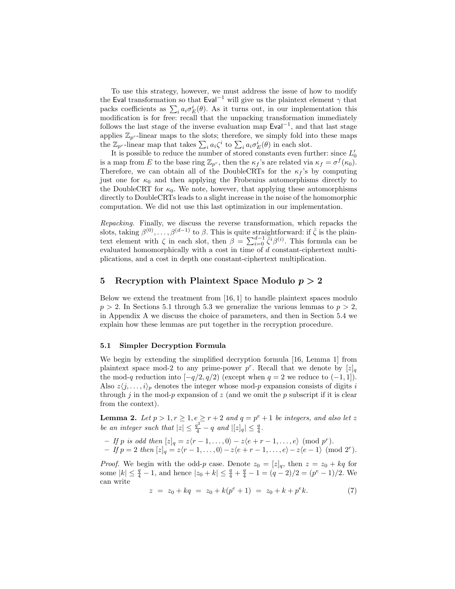To use this strategy, however, we must address the issue of how to modify the Eval transformation so that Eval<sup>-1</sup> will give us the plaintext element  $\gamma$  that packs coefficients as  $\sum_i a_i \sigma_E^i(\theta)$ . As it turns out, in our implementation this modification is for free: recall that the unpacking transformation immediately follows the last stage of the inverse evaluation map  $Eval^{-1}$ , and that last stage applies  $\mathbb{Z}_{p^r}$ -linear maps to the slots; therefore, we simply fold into these maps the  $\mathbb{Z}_{p^r}$ -linear map that takes  $\sum_i a_i \zeta^i$  to  $\sum_i a_i \sigma_E^i(\theta)$  in each slot.

It is possible to reduce the number of stored constants even further: since  $L'_0$ is a map from E to the base ring  $\mathbb{Z}_{p^r}$ , then the  $\kappa_f$ 's are related via  $\kappa_f = \sigma^f(\kappa_0)$ . Therefore, we can obtain all of the DoubleCRTs for the  $\kappa_f$ 's by computing just one for  $\kappa_0$  and then applying the Frobenius automorphisms directly to the DoubleCRT for  $\kappa_0$ . We note, however, that applying these automorphisms directly to DoubleCRTs leads to a slight increase in the noise of the homomorphic computation. We did not use this last optimization in our implementation.

Repacking. Finally, we discuss the reverse transformation, which repacks the slots, taking  $\beta^{(0)}, \ldots, \beta^{(d-1)}$  to  $\beta$ . This is quite straightforward: if  $\bar{\zeta}$  is the plaintext element with  $\zeta$  in each slot, then  $\beta = \sum_{i=0}^{d-1} \bar{\zeta}^i \beta^{(i)}$ . This formula can be evaluated homomorphically with a cost in time of d constant-ciphertext multiplications, and a cost in depth one constant-ciphertext multiplication.

### 5 Recryption with Plaintext Space Modulo  $p > 2$

Below we extend the treatment from [16, 1] to handle plaintext spaces modulo  $p > 2$ . In Sections 5.1 through 5.3 we generalize the various lemmas to  $p > 2$ , in Appendix A we discuss the choice of parameters, and then in Section 5.4 we explain how these lemmas are put together in the recryption procedure.

### 5.1 Simpler Decryption Formula

We begin by extending the simplified decryption formula [16, Lemma 1] from plaintext space mod-2 to any prime-power  $p^r$ . Recall that we denote by  $[z]_q$ the mod-q reduction into  $[-q/2, q/2)$  (except when  $q = 2$  we reduce to  $(-1, 1]$ ). Also  $z\langle j, \ldots, i \rangle_p$  denotes the integer whose mod-p expansion consists of digits i through j in the mod-p expansion of  $z$  (and we omit the p subscript if it is clear from the context).

**Lemma 2.** Let  $p > 1, r \geq 1, e \geq r + 2$  and  $q = p^e + 1$  be integers, and also let z be an integer such that  $|z| \leq \frac{q^2}{4} - q$  and  $|[z]_q| \leq \frac{q}{4}$ .

- If p is odd then  $[z]_q = z(r-1,\ldots,0) - z\langle e+r-1,\ldots,e\rangle \pmod{p^r}$ .  $-If p = 2 then [z]_q = z(r-1,...,0) - z\langle e+r-1,...,e \rangle - z\langle e-1 \rangle \pmod{2^r}.$ 

*Proof.* We begin with the odd-p case. Denote  $z_0 = [z]_q$ , then  $z = z_0 + kq$  for some  $|k| \leq \frac{q}{4} - 1$ , and hence  $|z_0 + k| \leq \frac{q}{4} + \frac{q}{4} - 1 = (q - 2)/2 = (p^e - 1)/2$ . We can write

$$
z = z_0 + kq = z_0 + k(p^e + 1) = z_0 + k + p^e k. \tag{7}
$$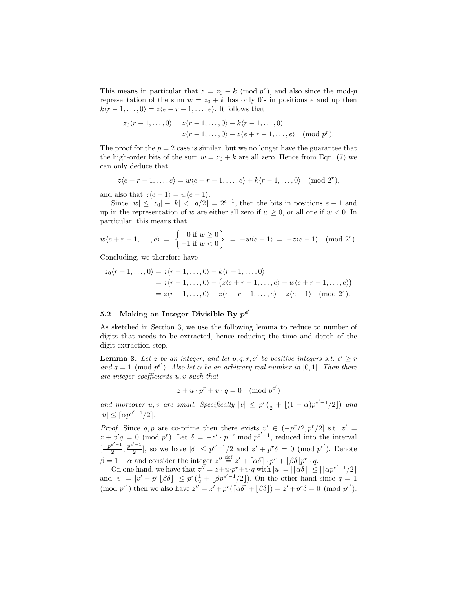This means in particular that  $z = z_0 + k \pmod{p^r}$ , and also since the mod-p representation of the sum  $w = z_0 + k$  has only 0's in positions e and up then  $k\langle r-1,\ldots,0\rangle=z\langle e+r-1,\ldots,e\rangle$ . It follows that

$$
z_0\langle r-1,\ldots,0\rangle = z\langle r-1,\ldots,0\rangle - k\langle r-1,\ldots,0\rangle
$$
  
=  $z\langle r-1,\ldots,0\rangle - z\langle e+r-1,\ldots,e\rangle \pmod{p^r}.$ 

The proof for the  $p = 2$  case is similar, but we no longer have the guarantee that the high-order bits of the sum  $w = z_0 + k$  are all zero. Hence from Eqn. (7) we can only deduce that

$$
z\langle e+r-1,\ldots,e\rangle=w\langle e+r-1,\ldots,e\rangle+k\langle r-1,\ldots,0\rangle \pmod{2^r},
$$

and also that  $z\langle e-1\rangle = w\langle e-1\rangle$ .

Since  $|w| \leq |z_0| + |k| < \lfloor q/2 \rfloor = 2^{e-1}$ , then the bits in positions  $e - 1$  and up in the representation of w are either all zero if  $w \geq 0$ , or all one if  $w < 0$ . In particular, this means that

$$
w\langle e+r-1,\ldots,e\rangle = \begin{cases} 0 \text{ if } w \ge 0 \\ -1 \text{ if } w < 0 \end{cases} = -w\langle e-1 \rangle = -z\langle e-1 \rangle \pmod{2^r}.
$$

Concluding, we therefore have

$$
z_0 \langle r-1, \ldots, 0 \rangle = z \langle r-1, \ldots, 0 \rangle - k \langle r-1, \ldots, 0 \rangle
$$
  
=  $z \langle r-1, \ldots, 0 \rangle - (z \langle e+r-1, \ldots, e \rangle - w \langle e+r-1, \ldots, e \rangle)$   
=  $z \langle r-1, \ldots, 0 \rangle - z \langle e+r-1, \ldots, e \rangle - z \langle e-1 \rangle \pmod{2^r}.$ 

# 5.2 Making an Integer Divisible By  $p^{e'}$

As sketched in Section 3, we use the following lemma to reduce to number of digits that needs to be extracted, hence reducing the time and depth of the digit-extraction step.

**Lemma 3.** Let z be an integer, and let  $p, q, r, e'$  be positive integers s.t.  $e' \geq r$ and  $q = 1 \pmod{p^{e'}}$ . Also let  $\alpha$  be an arbitrary real number in [0,1]. Then there are integer coefficients u, v such that

$$
z + u \cdot p^r + v \cdot q = 0 \pmod{p^{e'}}
$$

and moreover u, v are small. Specifically  $|v| \leq p^r(\frac{1}{2} + \lfloor (1 - \alpha)p^{e'} - \frac{1}{2}] )$  and  $|u| \leq \lceil \alpha p^{e'-1}/2 \rceil$ .

*Proof.* Since q, p are co-prime then there exists  $v' \in (-p^r/2, p^r/2]$  s.t.  $z' =$  $z + v'q = 0 \pmod{p^r}$ . Let  $\delta = -z' \cdot p^{-r} \pmod{p^{e'-1}}$ , reduced into the interval  $\left[ \frac{-p^{e'}-1}{2}\right]$  $\frac{e'-1}{2}, \frac{p^{e'-1}}{2}$  $\frac{z^{-1}}{2}$ , so we have  $|\delta| \leq p^{e'-1}/2$  and  $z' + p^r \delta = 0 \pmod{p^{e'}}$ . Denote  $\beta = 1 - \alpha$  and consider the integer  $z'' \stackrel{\text{def}}{=} z' + \lceil \alpha \delta \rceil \cdot p^r + \lceil \beta \delta \rceil p^r \cdot q$ .

On one hand, we have that  $z'' = z + u \cdot p^r + v \cdot q$  with  $|u| = |\alpha \delta| \leq |[\alpha p^{e'-1}/2]$ and  $|v| = |v' + p^r[\beta \delta]| \leq p^r(\frac{1}{2} + |\beta p^{e'-1}/2|)$ . On the other hand since  $q = 1$  $\pmod{p^{e'}}$  then we also have  $z'' = z' + p^r(\lceil \alpha \delta \rceil + |\beta \delta|) = z' + p^r \delta = 0 \pmod{p^{e'}}$ .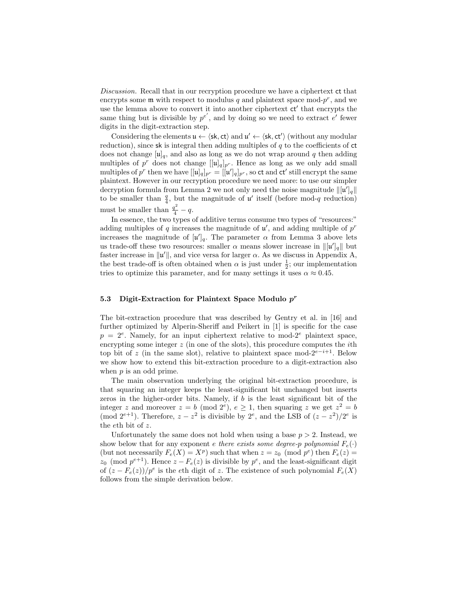Discussion. Recall that in our recryption procedure we have a ciphertext ct that encrypts some  $\mathfrak m$  with respect to modulus q and plaintext space mod- $p^r$ , and we use the lemma above to convert it into another ciphertext  $ct'$  that encrypts the same thing but is divisible by  $p^{e'}$ , and by doing so we need to extract  $e'$  fewer digits in the digit-extraction step.

Considering the elements  $u \leftarrow \langle sk, ct \rangle$  and  $u' \leftarrow \langle sk, ct' \rangle$  (without any modular reduction), since sk is integral then adding multiples of  $q$  to the coefficients of  $ct$ does not change  $[u]_q$ , and also as long as we do not wrap around q then adding multiples of  $p^r$  does not change  $[[\mathfrak{u}]_q]_{p^r}$ . Hence as long as we only add small multiples of  $p^r$  then we have  $[[\mathfrak{u}]_q]_{p^r} = [[\mathfrak{u}']_q]_{p^r}$ , so ct and ct' still encrypt the same plaintext. However in our recryption procedure we need more: to use our simpler decryption formula from Lemma 2 we not only need the noise magnitude  $\|\llbracket \mathfrak{u}' \rrbracket_{q} \|$ to be smaller than  $\frac{q}{4}$ , but the magnitude of u' itself (before mod-q reduction) must be smaller than  $\frac{q^2}{4} - q$ .

In essence, the two types of additive terms consume two types of "resources:" adding multiples of q increases the magnitude of  $\mathfrak{u}'$ , and adding multiple of  $p^r$ increases the magnitude of  $[u']_q$ . The parameter  $\alpha$  from Lemma 3 above lets us trade-off these two resources: smaller  $\alpha$  means slower increase in  $\|\[\mathfrak{u}'\]_q\|$  but faster increase in  $\|\mu'\|$ , and vice versa for larger  $\alpha$ . As we discuss in Appendix A, the best trade-off is often obtained when  $\alpha$  is just under  $\frac{1}{2}$ ; our implementation tries to optimize this parameter, and for many settings it uses  $\alpha \approx 0.45$ .

### 5.3 Digit-Extraction for Plaintext Space Modulo  $p^r$

The bit-extraction procedure that was described by Gentry et al. in [16] and further optimized by Alperin-Sheriff and Peikert in [1] is specific for the case  $p = 2^e$ . Namely, for an input ciphertext relative to mod- $2^e$  plaintext space, encrypting some integer  $z$  (in one of the slots), this procedure computes the *i*th top bit of z (in the same slot), relative to plaintext space mod- $2^{e-i+1}$ . Below we show how to extend this bit-extraction procedure to a digit-extraction also when  $p$  is an odd prime.

The main observation underlying the original bit-extraction procedure, is that squaring an integer keeps the least-significant bit unchanged but inserts zeros in the higher-order bits. Namely, if  $b$  is the least significant bit of the integer z and moreover  $z = b \pmod{2^e}$ ,  $e \ge 1$ , then squaring z we get  $z^2 = b$ (mod  $2^{e+1}$ ). Therefore,  $z - z^2$  is divisible by  $2^e$ , and the LSB of  $(z - z^2)/2^e$  is the eth bit of z.

Unfortunately the same does not hold when using a base  $p > 2$ . Instead, we show below that for any exponent *e* there exists some degree-p polynomial  $F_e(\cdot)$ (but not necessarily  $F_e(X) = X^p$ ) such that when  $z = z_0 \pmod{p^e}$  then  $F_e(z) = z_0$  $z_0 \pmod{p^{e+1}}$ . Hence  $z - F_e(z)$  is divisible by  $p^e$ , and the least-significant digit of  $(z - F_e(z))/p^e$  is the eth digit of z. The existence of such polynomial  $F_e(X)$ follows from the simple derivation below.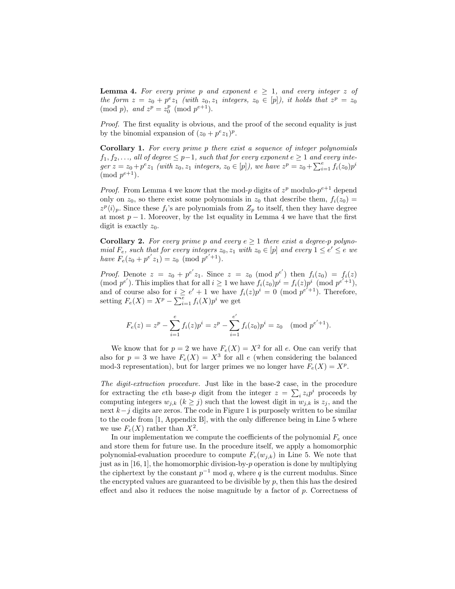**Lemma 4.** For every prime p and exponent  $e \geq 1$ , and every integer z of the form  $z = z_0 + p^e z_1$  (with  $z_0, z_1$  integers,  $z_0 \in [p]$ ), it holds that  $z^p = z_0$ (mod p), and  $z^p = z_0^p \pmod{p^{e+1}}$ .

Proof. The first equality is obvious, and the proof of the second equality is just by the binomial expansion of  $(z_0 + p^e z_1)^p$ .

Corollary 1. For every prime p there exist a sequence of integer polynomials  $f_1, f_2, \ldots$ , all of degree  $\leq p-1$ , such that for every exponent  $e \geq 1$  and every inte $ger \ z = z_0 + p^e z_1 \; (with \ z_0, z_1 \; integers, \ z_0 \in [p]), \; we \; have \; z^p = z_0 + \sum_{i=1}^e f_i(z_0) p^i$  $\pmod{p^{e+1}}$ .

*Proof.* From Lemma 4 we know that the mod-p digits of  $z^p$  modulo- $p^{e+1}$  depend only on  $z_0$ , so there exist some polynomials in  $z_0$  that describe them,  $f_i(z_0)$  =  $z^p(i)_p$ . Since these  $f_i$ 's are polynomials from  $Z_p$  to itself, then they have degree at most  $p-1$ . Moreover, by the 1st equality in Lemma 4 we have that the first digit is exactly  $z_0$ .

**Corollary 2.** For every prime p and every  $e \geq 1$  there exist a degree-p polynomial  $F_e$ , such that for every integers  $z_0, z_1$  with  $z_0 \in [p]$  and every  $1 \le e' \le e$  we have  $F_e(z_0 + p^{e'} z_1) = z_0 \pmod{p^{e'+1}}$ .

*Proof.* Denote  $z = z_0 + p^{e'} z_1$ . Since  $z = z_0 \pmod{p^{e'}}$  then  $f_i(z_0) = f_i(z)$ (mod  $p^{e'}$ ). This implies that for all  $i \geq 1$  we have  $f_i(z_0)p^i = f_i(z)p^i \pmod{p^{e'+1}}$ , and of course also for  $i \geq e' + 1$  we have  $f_i(z)p^i = 0 \pmod{p^{e'}+1}$ . Therefore, setting  $F_e(X) = X^p - \sum_{i=1}^e f_i(X) p^i$  we get

$$
F_e(z) = z^p - \sum_{i=1}^e f_i(z) p^i = z^p - \sum_{i=1}^{e'} f_i(z_0) p^i = z_0 \pmod{p^{e'+1}}.
$$

We know that for  $p = 2$  we have  $F_e(X) = X^2$  for all e. One can verify that also for  $p = 3$  we have  $F_e(X) = X^3$  for all e (when considering the balanced mod-3 representation), but for larger primes we no longer have  $F_e(X) = X^p$ .

The digit-extraction procedure. Just like in the base-2 case, in the procedure for extracting the eth base-p digit from the integer  $z = \sum_i z_i p^i$  proceeds by computing integers  $w_{j,k}$   $(k \geq j)$  such that the lowest digit in  $w_{j,k}$  is  $z_j$ , and the next  $k-j$  digits are zeros. The code in Figure 1 is purposely written to be similar to the code from [1, Appendix B], with the only difference being in Line 5 where we use  $F_e(X)$  rather than  $X^2$ .

In our implementation we compute the coefficients of the polynomial  $F_e$  once and store them for future use. In the procedure itself, we apply a homomorphic polynomial-evaluation procedure to compute  $F_e(w_{i,k})$  in Line 5. We note that just as in [16, 1], the homomorphic division-by-p operation is done by multiplying the ciphertext by the constant  $p^{-1}$  mod q, where q is the current modulus. Since the encrypted values are guaranteed to be divisible by  $p$ , then this has the desired effect and also it reduces the noise magnitude by a factor of  $p$ . Correctness of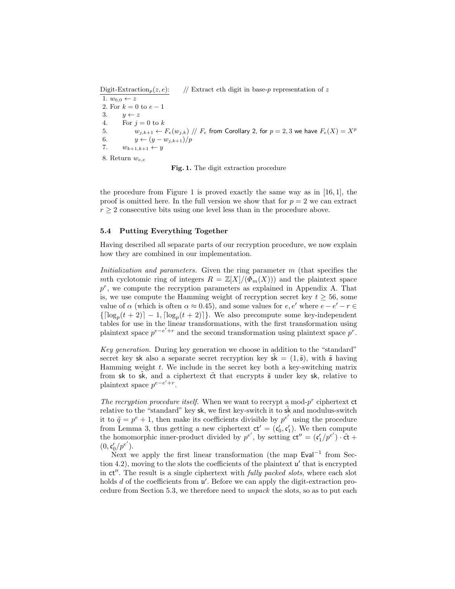Digit-Extraction<sub>p</sub> $(z, e)$ : // Extract eth digit in base-p representation of z 1.  $w_{0,0} \leftarrow z$ 2. For  $k = 0$  to  $e - 1$ 3.  $y \leftarrow z$ 4. For  $j = 0$  to k 5.  $w_{j,k+1} \leftarrow F_e(w_{j,k}) \text{ // } F_e$  from Corollary 2, for  $p = 2, 3$  we have  $F_e(X) = X^p$ 6.  $y \leftarrow (y - w_{j,k+1})/p$ 7.  $w_{k+1,k+1} \leftarrow y$ 8. Return  $w_{e,e}$ 

Fig. 1. The digit extraction procedure

the procedure from Figure 1 is proved exactly the same way as in [16, 1], the proof is omitted here. In the full version we show that for  $p = 2$  we can extract  $r \geq 2$  consecutive bits using one level less than in the procedure above.

### 5.4 Putting Everything Together

Having described all separate parts of our recryption procedure, we now explain how they are combined in our implementation.

Initialization and parameters. Given the ring parameter  $m$  (that specifies the mth cyclotomic ring of integers  $R = \mathbb{Z}[X]/(\Phi_m(X))$  and the plaintext space  $p^r$ , we compute the recryption parameters as explained in Appendix A. That is, we use compute the Hamming weight of recryption secret key  $t \geq 56$ , some value of  $\alpha$  (which is often  $\alpha \approx 0.45$ ), and some values for  $e, e'$  where  $e - e' - r \in$  $\{\lceil \log_p(t + 2) \rceil - 1, \lceil \log_p(t + 2) \rceil\}.$  We also precompute some key-independent tables for use in the linear transformations, with the first transformation using plaintext space  $p^{e-e'+r}$  and the second transformation using plaintext space  $p^r$ .

Key generation. During key generation we choose in addition to the "standard" secret key sk also a separate secret recryption key  $sk = (1, \tilde{s})$ , with  $\tilde{s}$  having Hamming weight  $t$ . We include in the secret key both a key-switching matrix from sk to sk, and a ciphertext  $\tilde{c}t$  that encrypts  $\tilde{s}$  under key sk, relative to plaintext space  $p^{e-e'+r}$ .

The recryption procedure itself. When we want to recrypt a mod- $p^r$  ciphertext ct relative to the "standard" key sk, we first key-switch it to sk and modulus-switch it to  $\tilde{q} = p^e + 1$ , then make its coefficients divisible by  $p^{e'}$  using the procedure from Lemma 3, thus getting a new ciphertext  $ct' = (c'_0, c'_1)$ . We then compute the homomorphic inner-product divided by  $p^{e'}$ , by setting  $ct'' = (c'_1/p^{e'}) \cdot \tilde{ct} +$  $(0,\mathfrak{c}'_0/p^{e'}).$ 

Next we apply the first linear transformation (the map Eval<sup>-1</sup> from Section 4.2), moving to the slots the coefficients of the plaintext  $\mathfrak{u}'$  that is encrypted in  $ct$ <sup> $\prime$ </sup>. The result is a single ciphertext with *fully packed slots*, where each slot holds  $d$  of the coefficients from  $\mathfrak{u}'$ . Before we can apply the digit-extraction procedure from Section 5.3, we therefore need to unpack the slots, so as to put each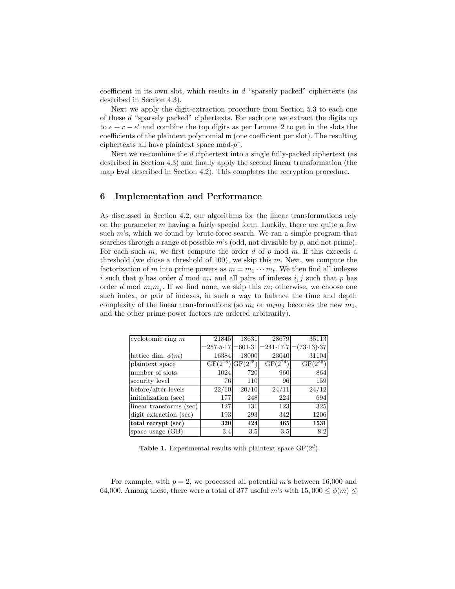coefficient in its own slot, which results in  $d$  "sparsely packed" ciphertexts (as described in Section 4.3).

Next we apply the digit-extraction procedure from Section 5.3 to each one of these d "sparsely packed" ciphertexts. For each one we extract the digits up to  $e + r - e'$  and combine the top digits as per Lemma 2 to get in the slots the coefficients of the plaintext polynomial m (one coefficient per slot). The resulting ciphertexts all have plaintext space  $mod-p<sup>r</sup>$ .

Next we re-combine the d ciphertext into a single fully-packed ciphertext (as described in Section 4.3) and finally apply the second linear transformation (the map Eval described in Section 4.2). This completes the recryption procedure.

### 6 Implementation and Performance

As discussed in Section 4.2, our algorithms for the linear transformations rely on the parameter  $m$  having a fairly special form. Luckily, there are quite a few such  $m$ 's, which we found by brute-force search. We ran a simple program that searches through a range of possible  $m$ 's (odd, not divisible by  $p$ , and not prime). For each such m, we first compute the order d of p mod m. If this exceeds a threshold (we chose a threshold of 100), we skip this  $m$ . Next, we compute the factorization of m into prime powers as  $m = m_1 \cdots m_t$ . We then find all indexes i such that p has order d mod  $m_i$  and all pairs of indexes i, j such that p has order d mod  $m_i m_j$ . If we find none, we skip this m; otherwise, we choose one such index, or pair of indexes, in such a way to balance the time and depth complexity of the linear transformations (so  $m_i$  or  $m_i m_j$  becomes the new  $m_1$ , and the other prime power factors are ordered arbitrarily).

| cyclotomic ring $m$     | 21845                      | 18631 | 28679        | 35113                                            |
|-------------------------|----------------------------|-------|--------------|--------------------------------------------------|
|                         |                            |       |              | $=257.5.17$ $=601.31$ $=241.17.7$ $= (73.13).37$ |
| lattice dim. $\phi(m)$  | 16384                      | 18000 | 23040        | 31104                                            |
| plaintext space         | $GF(2^{16})$ GF $(2^{25})$ |       | $GF(2^{24})$ | $GF(2^{36})$                                     |
| number of slots         | 1024                       | 720   | 960          | 864                                              |
| security level          | 761                        | 110   | 96           | 159                                              |
| before/after levels     | 22/10                      | 20/10 | 24/11        | 24/12                                            |
| initialization (sec)    | 177                        | 248   | 224          | 694                                              |
| linear transforms (sec) | 127                        | 131   | 123          | 325                                              |
| digit extraction (sec)  | 193                        | 293   | 342          | 1206                                             |
| total recrypt (sec)     | 320                        | 424   | 465          | 1531                                             |
| space usage (GB)        | 3.4                        | 3.5   | 3.5          | 8.2                                              |

Table 1. Experimental results with plaintext space  $GF(2<sup>d</sup>)$ 

For example, with  $p = 2$ , we processed all potential m's between 16,000 and 64,000. Among these, there were a total of 377 useful m's with  $15,000 \le \phi(m) \le$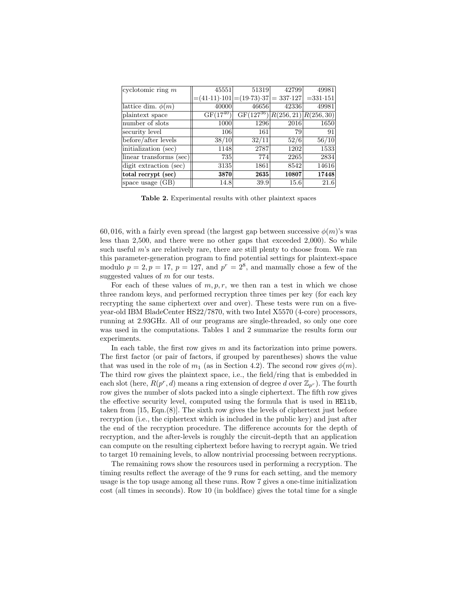| cyclotomic ring $m$     | 45551          | 51319                    | 42799 | 49981                   |
|-------------------------|----------------|--------------------------|-------|-------------------------|
|                         | $=(41.11).101$ | $=$ (19.73).37 = 337.127 |       | $=331.151$              |
| lattice dim. $\phi(m)$  | 40000          | 46656                    | 42336 | 49981                   |
| plaintext space         | $GF(17^{40}$   | $GF(127^{36})$           |       | R(256, 21)   R(256, 30) |
| number of slots         | 1000           | 1296                     | 2016  | 1650                    |
| security level          | 106            | 161                      | 79    | 91                      |
| before/after levels     | 38/10          | 32/11                    | 52/6  | 56/10                   |
| initialization (sec)    | 1148           | 2787                     | 1202  | 1533                    |
| linear transforms (sec) | 735            | 774                      | 2265  | 2834                    |
| digit extraction (sec)  | 3135           | 1861                     | 8542  | 14616                   |
| total recrypt (sec)     | 3870           | 2635                     | 10807 | 17448                   |
| space usage $(GB)$      | 14.8           | 39.9                     | 15.6  | 21.6                    |

Table 2. Experimental results with other plaintext spaces

60, 016, with a fairly even spread (the largest gap between successive  $\phi(m)$ 's was less than 2,500, and there were no other gaps that exceeded 2,000). So while such useful  $m$ 's are relatively rare, there are still plenty to choose from. We ran this parameter-generation program to find potential settings for plaintext-space modulo  $p = 2, p = 17, p = 127, \text{ and } p^r = 2^8, \text{ and manually chose a few of the}$ suggested values of  $m$  for our tests.

For each of these values of  $m, p, r$ , we then ran a test in which we chose three random keys, and performed recryption three times per key (for each key recrypting the same ciphertext over and over). These tests were run on a fiveyear-old IBM BladeCenter HS22/7870, with two Intel X5570 (4-core) processors, running at 2.93GHz. All of our programs are single-threaded, so only one core was used in the computations. Tables 1 and 2 summarize the results form our experiments.

In each table, the first row gives  $m$  and its factorization into prime powers. The first factor (or pair of factors, if grouped by parentheses) shows the value that was used in the role of  $m_1$  (as in Section 4.2). The second row gives  $\phi(m)$ . The third row gives the plaintext space, i.e., the field/ring that is embedded in each slot (here,  $R(p^r, d)$  means a ring extension of degree d over  $\mathbb{Z}_{p^r}$ ). The fourth row gives the number of slots packed into a single ciphertext. The fifth row gives the effective security level, computed using the formula that is used in HElib, taken from [15, Eqn.(8)]. The sixth row gives the levels of ciphertext just before recryption (i.e., the ciphertext which is included in the public key) and just after the end of the recryption procedure. The difference accounts for the depth of recryption, and the after-levels is roughly the circuit-depth that an application can compute on the resulting ciphertext before having to recrypt again. We tried to target 10 remaining levels, to allow nontrivial processing between recryptions.

The remaining rows show the resources used in performing a recryption. The timing results reflect the average of the 9 runs for each setting, and the memory usage is the top usage among all these runs. Row 7 gives a one-time initialization cost (all times in seconds). Row 10 (in boldface) gives the total time for a single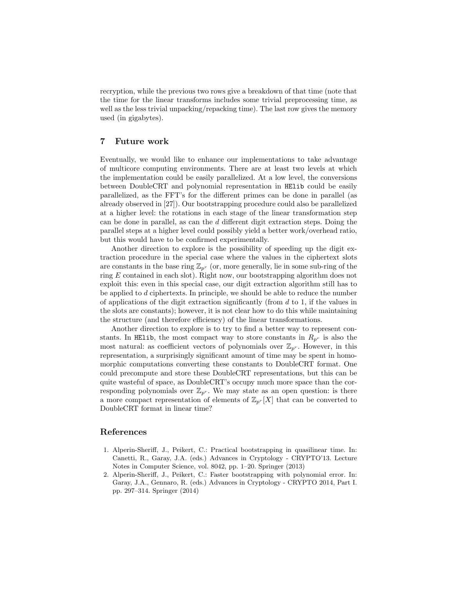recryption, while the previous two rows give a breakdown of that time (note that the time for the linear transforms includes some trivial preprocessing time, as well as the less trivial unpacking/repacking time). The last row gives the memory used (in gigabytes).

### 7 Future work

Eventually, we would like to enhance our implementations to take advantage of multicore computing environments. There are at least two levels at which the implementation could be easily parallelized. At a low level, the conversions between DoubleCRT and polynomial representation in HElib could be easily parallelized, as the FFT's for the different primes can be done in parallel (as already observed in [27]). Our bootstrapping procedure could also be parallelized at a higher level: the rotations in each stage of the linear transformation step can be done in parallel, as can the d different digit extraction steps. Doing the parallel steps at a higher level could possibly yield a better work/overhead ratio, but this would have to be confirmed experimentally.

Another direction to explore is the possibility of speeding up the digit extraction procedure in the special case where the values in the ciphertext slots are constants in the base ring  $\mathbb{Z}_{p^r}$  (or, more generally, lie in some sub-ring of the ring E contained in each slot). Right now, our bootstrapping algorithm does not exploit this: even in this special case, our digit extraction algorithm still has to be applied to d ciphertexts. In principle, we should be able to reduce the number of applications of the digit extraction significantly (from  $d$  to 1, if the values in the slots are constants); however, it is not clear how to do this while maintaining the structure (and therefore efficiency) of the linear transformations.

Another direction to explore is to try to find a better way to represent constants. In HElib, the most compact way to store constants in  $R_{p^r}$  is also the most natural: as coefficient vectors of polynomials over  $\mathbb{Z}_{p^r}$ . However, in this representation, a surprisingly significant amount of time may be spent in homomorphic computations converting these constants to DoubleCRT format. One could precompute and store these DoubleCRT representations, but this can be quite wasteful of space, as DoubleCRT's occupy much more space than the corresponding polynomials over  $\mathbb{Z}_{p^r}$ . We may state as an open question: is there a more compact representation of elements of  $\mathbb{Z}_{p^r}[X]$  that can be converted to DoubleCRT format in linear time?

### References

- 1. Alperin-Sheriff, J., Peikert, C.: Practical bootstrapping in quasilinear time. In: Canetti, R., Garay, J.A. (eds.) Advances in Cryptology - CRYPTO'13. Lecture Notes in Computer Science, vol. 8042, pp. 1–20. Springer (2013)
- 2. Alperin-Sheriff, J., Peikert, C.: Faster bootstrapping with polynomial error. In: Garay, J.A., Gennaro, R. (eds.) Advances in Cryptology - CRYPTO 2014, Part I. pp. 297–314. Springer (2014)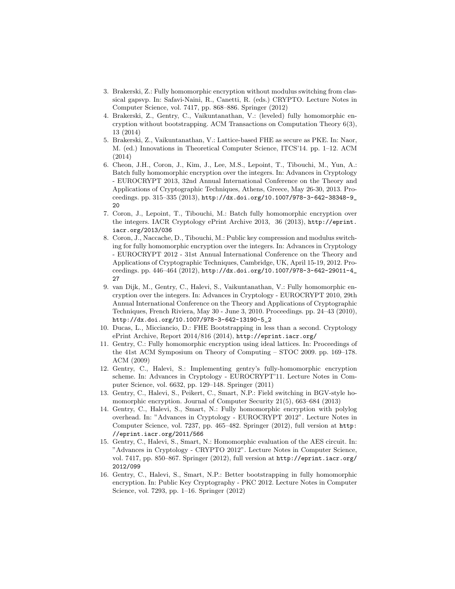- 3. Brakerski, Z.: Fully homomorphic encryption without modulus switching from classical gapsvp. In: Safavi-Naini, R., Canetti, R. (eds.) CRYPTO. Lecture Notes in Computer Science, vol. 7417, pp. 868–886. Springer (2012)
- 4. Brakerski, Z., Gentry, C., Vaikuntanathan, V.: (leveled) fully homomorphic encryption without bootstrapping. ACM Transactions on Computation Theory 6(3), 13 (2014)
- 5. Brakerski, Z., Vaikuntanathan, V.: Lattice-based FHE as secure as PKE. In: Naor, M. (ed.) Innovations in Theoretical Computer Science, ITCS'14. pp. 1–12. ACM (2014)
- 6. Cheon, J.H., Coron, J., Kim, J., Lee, M.S., Lepoint, T., Tibouchi, M., Yun, A.: Batch fully homomorphic encryption over the integers. In: Advances in Cryptology - EUROCRYPT 2013, 32nd Annual International Conference on the Theory and Applications of Cryptographic Techniques, Athens, Greece, May 26-30, 2013. Proceedings. pp. 315–335 (2013), http://dx.doi.org/10.1007/978-3-642-38348-9\_  $20$
- 7. Coron, J., Lepoint, T., Tibouchi, M.: Batch fully homomorphic encryption over the integers. IACR Cryptology ePrint Archive 2013, 36 (2013), http://eprint. iacr.org/2013/036
- 8. Coron, J., Naccache, D., Tibouchi, M.: Public key compression and modulus switching for fully homomorphic encryption over the integers. In: Advances in Cryptology - EUROCRYPT 2012 - 31st Annual International Conference on the Theory and Applications of Cryptographic Techniques, Cambridge, UK, April 15-19, 2012. Proceedings. pp. 446–464 (2012), http://dx.doi.org/10.1007/978-3-642-29011-4\_ 27
- 9. van Dijk, M., Gentry, C., Halevi, S., Vaikuntanathan, V.: Fully homomorphic encryption over the integers. In: Advances in Cryptology - EUROCRYPT 2010, 29th Annual International Conference on the Theory and Applications of Cryptographic Techniques, French Riviera, May 30 - June 3, 2010. Proceedings. pp. 24–43 (2010), http://dx.doi.org/10.1007/978-3-642-13190-5\_2
- 10. Ducas, L., Micciancio, D.: FHE Bootstrapping in less than a second. Cryptology ePrint Archive, Report 2014/816 (2014), http://eprint.iacr.org/
- 11. Gentry, C.: Fully homomorphic encryption using ideal lattices. In: Proceedings of the 41st ACM Symposium on Theory of Computing – STOC 2009. pp. 169–178. ACM (2009)
- 12. Gentry, C., Halevi, S.: Implementing gentry's fully-homomorphic encryption scheme. In: Advances in Cryptology - EUROCRYPT'11. Lecture Notes in Computer Science, vol. 6632, pp. 129–148. Springer (2011)
- 13. Gentry, C., Halevi, S., Peikert, C., Smart, N.P.: Field switching in BGV-style homomorphic encryption. Journal of Computer Security 21(5), 663–684 (2013)
- 14. Gentry, C., Halevi, S., Smart, N.: Fully homomorphic encryption with polylog overhead. In: "Advances in Cryptology - EUROCRYPT 2012". Lecture Notes in Computer Science, vol. 7237, pp. 465–482. Springer (2012), full version at http: //eprint.iacr.org/2011/566
- 15. Gentry, C., Halevi, S., Smart, N.: Homomorphic evaluation of the AES circuit. In: "Advances in Cryptology - CRYPTO 2012". Lecture Notes in Computer Science, vol. 7417, pp. 850–867. Springer (2012), full version at http://eprint.iacr.org/ 2012/099
- 16. Gentry, C., Halevi, S., Smart, N.P.: Better bootstrapping in fully homomorphic encryption. In: Public Key Cryptography - PKC 2012. Lecture Notes in Computer Science, vol. 7293, pp. 1–16. Springer (2012)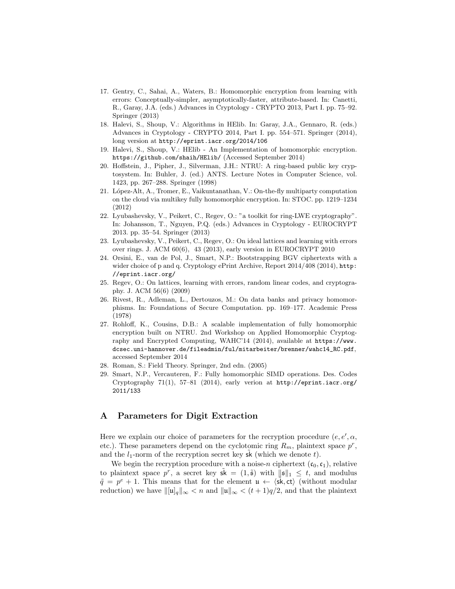- 17. Gentry, C., Sahai, A., Waters, B.: Homomorphic encryption from learning with errors: Conceptually-simpler, asymptotically-faster, attribute-based. In: Canetti, R., Garay, J.A. (eds.) Advances in Cryptology - CRYPTO 2013, Part I. pp. 75–92. Springer (2013)
- 18. Halevi, S., Shoup, V.: Algorithms in HElib. In: Garay, J.A., Gennaro, R. (eds.) Advances in Cryptology - CRYPTO 2014, Part I. pp. 554–571. Springer (2014), long version at http://eprint.iacr.org/2014/106
- 19. Halevi, S., Shoup, V.: HElib An Implementation of homomorphic encryption. https://github.com/shaih/HElib/ (Accessed September 2014)
- 20. Hoffstein, J., Pipher, J., Silverman, J.H.: NTRU: A ring-based public key cryptosystem. In: Buhler, J. (ed.) ANTS. Lecture Notes in Computer Science, vol. 1423, pp. 267–288. Springer (1998)
- 21. López-Alt, A., Tromer, E., Vaikuntanathan, V.: On-the-fly multiparty computation on the cloud via multikey fully homomorphic encryption. In: STOC. pp. 1219–1234 (2012)
- 22. Lyubashevsky, V., Peikert, C., Regev, O.: "a toolkit for ring-LWE cryptography". In: Johansson, T., Nguyen, P.Q. (eds.) Advances in Cryptology - EUROCRYPT 2013. pp. 35–54. Springer (2013)
- 23. Lyubashevsky, V., Peikert, C., Regev, O.: On ideal lattices and learning with errors over rings. J. ACM 60(6), 43 (2013), early version in EUROCRYPT 2010
- 24. Orsini, E., van de Pol, J., Smart, N.P.: Bootstrapping BGV ciphertexts with a wider choice of p and q. Cryptology ePrint Archive, Report 2014/408 (2014), http: //eprint.iacr.org/
- 25. Regev, O.: On lattices, learning with errors, random linear codes, and cryptography. J. ACM 56(6) (2009)
- 26. Rivest, R., Adleman, L., Dertouzos, M.: On data banks and privacy homomorphisms. In: Foundations of Secure Computation. pp. 169–177. Academic Press (1978)
- 27. Rohloff, K., Cousins, D.B.: A scalable implementation of fully homomorphic encryption built on NTRU. 2nd Workshop on Applied Homomorphic Cryptography and Encrypted Computing, WAHC'14 (2014), available at https://www. dcsec.uni-hannover.de/fileadmin/ful/mitarbeiter/brenner/wahc14\_RC.pdf, accessed September 2014
- 28. Roman, S.: Field Theory. Springer, 2nd edn. (2005)
- 29. Smart, N.P., Vercauteren, F.: Fully homomorphic SIMD operations. Des. Codes Cryptography 71(1), 57-81 (2014), early verion at  $http://eprint.iacr.org/$ 2011/133

# A Parameters for Digit Extraction

Here we explain our choice of parameters for the recryption procedure  $(e, e', \alpha, \alpha)$ etc.). These parameters depend on the cyclotomic ring  $R_m$ , plaintext space  $p^r$ , and the  $l_1$ -norm of the recryption secret key sk (which we denote t).

We begin the recryption procedure with a noise-n ciphertext  $(c_0, c_1)$ , relative to plaintext space  $p^r$ , a secret key  $\tilde{\mathbf{s}}(k) = (1, \tilde{\mathbf{s}})$  with  $\|\mathbf{s}\|_1 \leq t$ , and modulus  $\tilde{q} = p^e + 1$ . This means that for the element  $\mathfrak{u} \leftarrow \langle \tilde{\mathsf{sk}}, \tilde{\mathsf{ct}} \rangle$  (without modular reduction) we have  $\|\[\mathfrak{u}\]_q\|_{\infty} < n$  and  $\|\mathfrak{u}\|_{\infty} < (t+1)q/2$ , and that the plaintext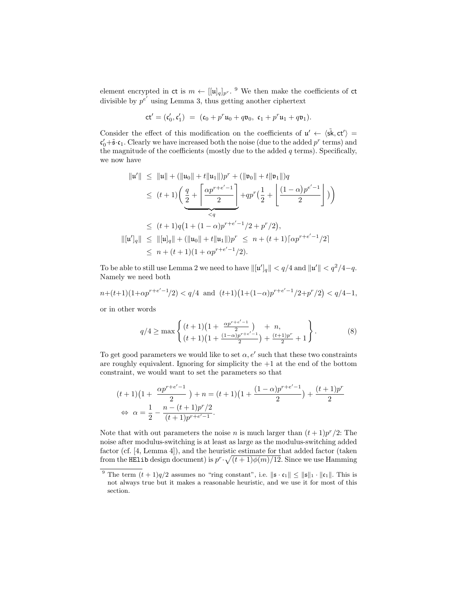element encrypted in ct is  $m \leftarrow [[u]_q]_{p^r}$ . <sup>9</sup> We then make the coefficients of ct divisible by  $p^{e'}$  using Lemma 3, thus getting another ciphertext

$$
ct' = (c'_0, c'_1) = (c_0 + p^r u_0 + q v_0, c_1 + p^r u_1 + q v_1).
$$

Consider the effect of this modification on the coefficients of  $u' \leftarrow \langle s\tilde{k}, ct'\rangle$  $\mathfrak{c}'_0$ + $\tilde{\mathfrak{s}} \cdot \mathfrak{c}_1$ . Clearly we have increased both the noise (due to the added  $p^r$  terms) and the magnitude of the coefficients (mostly due to the added  $q$  terms). Specifically, we now have

$$
||u'|| \le ||u|| + (||u_0|| + t||u_1||)p^r + (||v_0|| + t||v_1||)q
$$
  
\n
$$
\le (t+1)\left(\frac{q}{2} + \left[\frac{\alpha p^{r+e'-1}}{2}\right] + qp^r\left(\frac{1}{2} + \left[\frac{(1-\alpha)p^{e'-1}}{2}\right]\right)\right)
$$
  
\n
$$
\le (t+1)q(1 + (1-\alpha)p^{r+e'-1}/2 + p^r/2),
$$
  
\n
$$
||[u']_q|| \le ||[u]_q|| + (||u_0|| + t||u_1||)p^r \le n + (t+1)\lceil \alpha p^{r+e'-1}/2 \rceil
$$
  
\n
$$
\le n + (t+1)(1 + \alpha p^{r+e'-1}/2).
$$

To be able to still use Lemma 2 we need to have  $\|[\mathfrak{u}']_q\| < q/4$  and  $\|\mathfrak{u}'\| < q^2/4-q$ . Namely we need both

 $n+(t+1)(1+\alpha p^{r+e'-1}/2) < q/4$  and  $(t+1)(1+(1-\alpha)p^{r+e'-1}/2+p^r/2) < q/4-1$ ,

or in other words

$$
q/4 \ge \max\left\{ \frac{(t+1)\left(1 + \frac{\alpha p^{r+e'-1}}{2}\right)}{(t+1)\left(1 + \frac{(1-\alpha)p^{r+e'-1}}{2}\right) + \frac{(t+1)p^r}{2} + 1} \right\}.
$$
 (8)

To get good parameters we would like to set  $\alpha$ , e' such that these two constraints are roughly equivalent. Ignoring for simplicity the  $+1$  at the end of the bottom constraint, we would want to set the parameters so that

$$
(t+1)(1+\frac{\alpha p^{r+e'-1}}{2})+n = (t+1)(1+\frac{(1-\alpha)p^{r+e'-1}}{2})+\frac{(t+1)p^r}{2}
$$
  
\n
$$
\Leftrightarrow \alpha = \frac{1}{2} - \frac{n-(t+1)p^r/2}{(t+1)p^{r+e'-1}}.
$$

Note that with out parameters the noise *n* is much larger than  $(t+1)p^{r}/2$ : The noise after modulus-switching is at least as large as the modulus-switching added factor (cf. [4, Lemma 4]), and the heuristic estimate for that added factor (taken from the HElib design document) is  $p^r \cdot \sqrt{(t+1)\phi(m)/12}$ . Since we use Hamming

<sup>&</sup>lt;sup>9</sup> The term  $(t + 1)q/2$  assumes no "ring constant", i.e.  $\|\mathfrak{s} \cdot \mathfrak{c}_1\| \leq \|\mathfrak{s}\|_1 \cdot \|\mathfrak{c}_1\|$ . This is not always true but it makes a reasonable heuristic, and we use it for most of this section.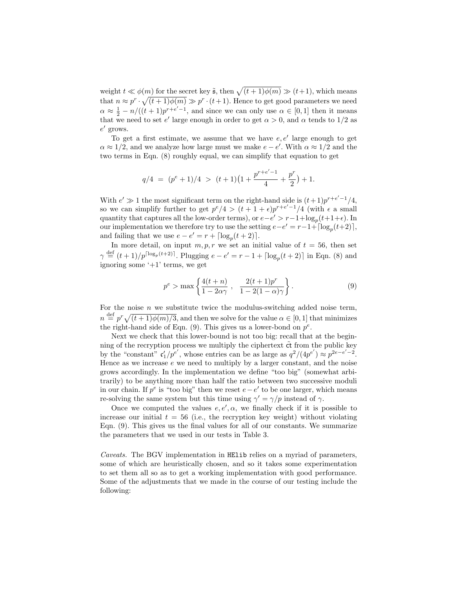weight  $t \ll \phi(m)$  for the secret key  $\tilde{s}$ , then  $\sqrt{(t+1)\phi(m)} \gg (t+1)$ , which means that  $n \approx p^r \cdot \sqrt{(t+1)\phi(m)} \gg p^r \cdot (t+1)$ . Hence to get good parameters we need  $\alpha \approx \frac{1}{2} - n/((t+1)p^{r+e'-1})$ , and since we can only use  $\alpha \in [0,1]$  then it means that we need to set e' large enough in order to get  $\alpha > 0$ , and  $\alpha$  tends to 1/2 as  $e'$  grows.

To get a first estimate, we assume that we have  $e, e'$  large enough to get  $\alpha \approx 1/2$ , and we analyze how large must we make  $e - e'$ . With  $\alpha \approx 1/2$  and the two terms in Eqn. (8) roughly equal, we can simplify that equation to get

$$
q/4 = (p^{e} + 1)/4 > (t+1)(1 + \frac{p^{r+e'-1}}{4} + \frac{p^{r}}{2}) + 1.
$$

With  $e' \gg 1$  the most significant term on the right-hand side is  $(t+1)p^{r+e'-1}/4$ , so we can simplify further to get  $p^e/4 > (t+1+\epsilon)p^{r+e'-1}/4$  (with  $\epsilon$  a small quantity that captures all the low-order terms), or  $e-e' > r-1+\log_p(t+1+\epsilon)$ . In our implementation we therefore try to use the setting  $e-e' = r-1+ \lceil \log_p(t+2) \rceil$ , and failing that we use  $e - e' = r + \lceil \log_p(t + 2) \rceil$ .

In more detail, on input  $m, p, r$  we set an initial value of  $t = 56$ , then set  $\gamma \stackrel{\text{def}}{=} (t+1)/p^{\lceil \log_p(t+2) \rceil}$ . Plugging  $e - e' = r - 1 + \lceil \log_p(t+2) \rceil$  in Eqn. (8) and ignoring some '+1' terms, we get

$$
p^{e} > \max\left\{\frac{4(t+n)}{1-2\alpha\gamma}, \frac{2(t+1)p^{r}}{1-2(1-\alpha)\gamma}\right\}.
$$
 (9)

For the noise  $n$  we substitute twice the modulus-switching added noise term,  $n \stackrel{\text{def}}{=} p^r \sqrt{(t+1)\phi(m)/3}$ , and then we solve for the value  $\alpha \in [0,1]$  that minimizes the right-hand side of Eqn. (9). This gives us a lower-bond on  $p^e$ .

Next we check that this lower-bound is not too big: recall that at the beginning of the recryption process we multiply the ciphertext  $\tilde{\text{ct}}$  from the public key by the "constant"  $\mathfrak{c}'_1/p^{e'}$ , whose entries can be as large as  $q^2/(4p^{e'}) \approx p^{2e-e'-2}$ . Hence as we increase  $e$  we need to multiply by a larger constant, and the noise grows accordingly. In the implementation we define "too big" (somewhat arbitrarily) to be anything more than half the ratio between two successive moduli in our chain. If  $p^e$  is "too big" then we reset  $e - e'$  to be one larger, which means re-solving the same system but this time using  $\gamma' = \gamma/p$  instead of  $\gamma$ .

Once we computed the values  $e, e', \alpha$ , we finally check if it is possible to increase our initial  $t = 56$  (i.e., the recryption key weight) without violating Eqn. (9). This gives us the final values for all of our constants. We summarize the parameters that we used in our tests in Table 3.

Caveats. The BGV implementation in HElib relies on a myriad of parameters, some of which are heuristically chosen, and so it takes some experimentation to set them all so as to get a working implementation with good performance. Some of the adjustments that we made in the course of our testing include the following: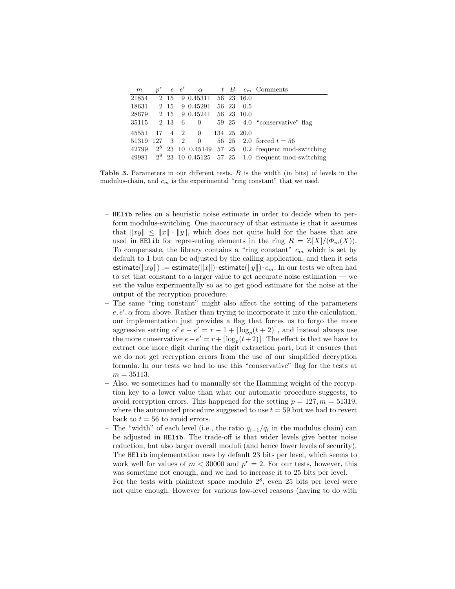| m |  |                                 |  | $p^r$ e e' $\alpha$ t B $c_m$ Comments                     |
|---|--|---------------------------------|--|------------------------------------------------------------|
|   |  | 21854 2 15 9 0.45311 56 23 16.0 |  |                                                            |
|   |  | 18631 2 15 9 0.45291 56 23 0.5  |  |                                                            |
|   |  | 28679 2 15 9 0.45241 56 23 10.0 |  |                                                            |
|   |  |                                 |  | 35115 2 13 6 0 59 25 4.0 "conservative" flag               |
|   |  | 45551 17 4 2 0 134 25 20.0      |  |                                                            |
|   |  |                                 |  | 51319 127 3 2 0 56 25 2.0 forced $t = 56$                  |
|   |  |                                 |  | 42799 $2^8$ 23 10 0.45149 57 25 0.2 frequent mod-switching |
|   |  |                                 |  | 49981 $2^8$ 23 10 0.45125 57 25 1.0 frequent mod-switching |

Table 3. Parameters in our different tests. B is the width (in bits) of levels in the modulus-chain, and  $c_m$  is the experimental "ring constant" that we used.

- HElib relies on a heuristic noise estimate in order to decide when to perform modulus-switching. One inaccuracy of that estimate is that it assumes that  $||xy|| \le ||x|| \cdot ||y||$ , which does not quite hold for the bases that are used in HElib for representing elements in the ring  $R = \mathbb{Z}[X]/(\Phi_m(X)).$ To compensate, the library contains a "ring constant"  $c_m$  which is set by default to 1 but can be adjusted by the calling application, and then it sets estimate( $||xy||$ ) := estimate( $||x||$ )·estimate( $||y||$ )· $c_m$ . In our tests we often had to set that constant to a larger value to get accurate noise estimation — we set the value experimentally so as to get good estimate for the noise at the output of the recryption procedure.
- The same "ring constant" might also affect the setting of the parameters  $e, e', \alpha$  from above. Rather than trying to incorporate it into the calculation, our implementation just provides a flag that forces us to forgo the more aggressive setting of  $e - e' = r - 1 + \lfloor \log_p(t + 2) \rfloor$ , and instead always use the more conservative  $e - e' = r + \lceil \log_p(t+2) \rceil$ . The effect is that we have to extract one more digit during the digit extraction part, but it ensures that we do not get recryption errors from the use of our simplified decryption formula. In our tests we had to use this "conservative" flag for the tests at  $m = 35113.$
- Also, we sometimes had to manually set the Hamming weight of the recryption key to a lower value than what our automatic procedure suggests, to avoid recryption errors. This happened for the setting  $p = 127, m = 51319,$ where the automated procedure suggested to use  $t = 59$  but we had to revert back to  $t = 56$  to avoid errors.
- The "width" of each level (i.e., the ratio  $q_{i+1}/q_i$  in the modulus chain) can be adjusted in HElib. The trade-off is that wider levels give better noise reduction, but also larger overall moduli (and hence lower levels of security). The HElib implementation uses by default 23 bits per level, which seems to work well for values of  $m < 30000$  and  $p^r = 2$ . For our tests, however, this was sometime not enough, and we had to increase it to 25 bits per level.

For the tests with plaintext space modulo  $2^8$ , even 25 bits per level were not quite enough. However for various low-level reasons (having to do with